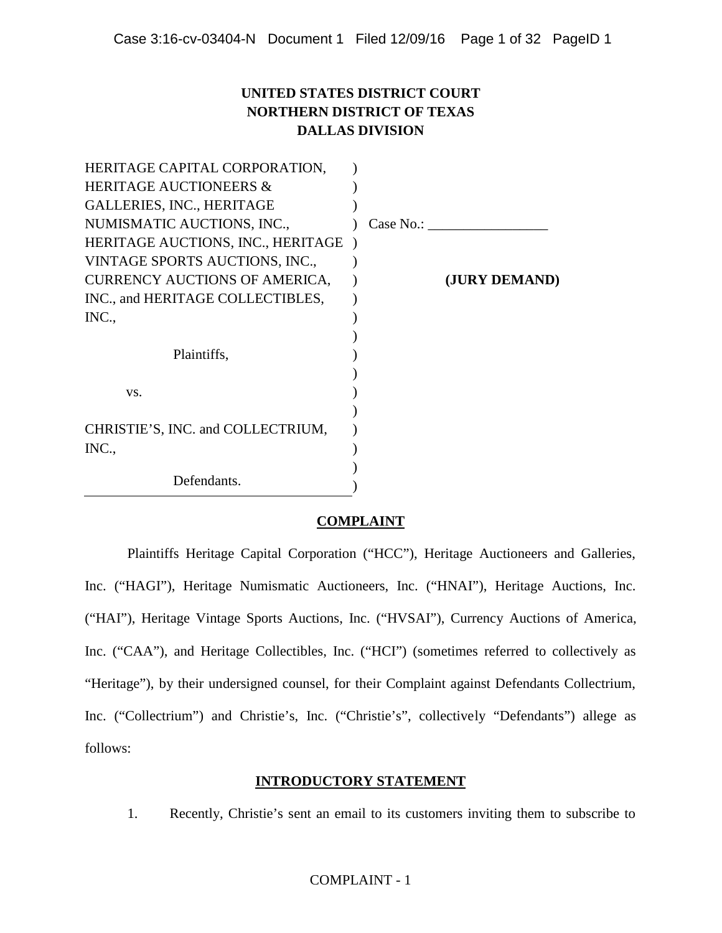## **UNITED STATES DISTRICT COURT NORTHERN DISTRICT OF TEXAS DALLAS DIVISION**

| HERITAGE CAPITAL CORPORATION,        |           |               |
|--------------------------------------|-----------|---------------|
| <b>HERITAGE AUCTIONEERS &amp;</b>    |           |               |
| <b>GALLERIES, INC., HERITAGE</b>     |           |               |
| NUMISMATIC AUCTIONS, INC.,           | Case No.: |               |
| HERITAGE AUCTIONS, INC., HERITAGE    |           |               |
| VINTAGE SPORTS AUCTIONS, INC.,       |           |               |
| <b>CURRENCY AUCTIONS OF AMERICA,</b> |           | (JURY DEMAND) |
| INC., and HERITAGE COLLECTIBLES,     |           |               |
| INC.,                                |           |               |
|                                      |           |               |
| Plaintiffs,                          |           |               |
|                                      |           |               |
| VS.                                  |           |               |
|                                      |           |               |
| CHRISTIE'S, INC. and COLLECTRIUM,    |           |               |
| INC.,                                |           |               |
|                                      |           |               |
| Defendants.                          |           |               |

## **COMPLAINT**

Plaintiffs Heritage Capital Corporation ("HCC"), Heritage Auctioneers and Galleries, Inc. ("HAGI"), Heritage Numismatic Auctioneers, Inc. ("HNAI"), Heritage Auctions, Inc. ("HAI"), Heritage Vintage Sports Auctions, Inc. ("HVSAI"), Currency Auctions of America, Inc. ("CAA"), and Heritage Collectibles, Inc. ("HCI") (sometimes referred to collectively as "Heritage"), by their undersigned counsel, for their Complaint against Defendants Collectrium, Inc. ("Collectrium") and Christie's, Inc. ("Christie's", collectively "Defendants") allege as follows:

## **INTRODUCTORY STATEMENT**

1. Recently, Christie's sent an email to its customers inviting them to subscribe to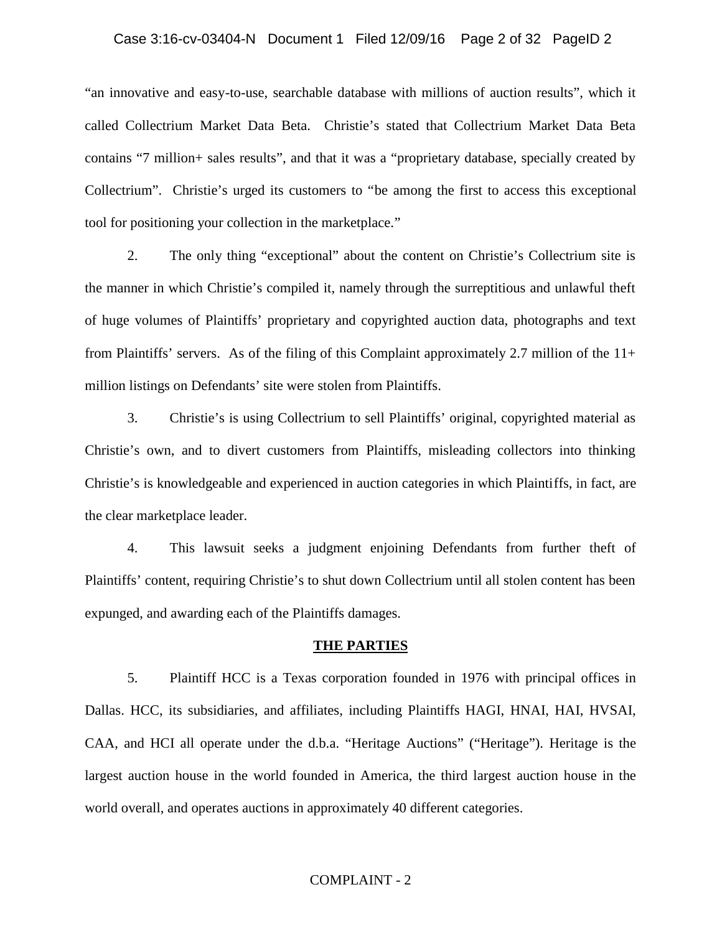#### Case 3:16-cv-03404-N Document 1 Filed 12/09/16 Page 2 of 32 PageID 2

"an innovative and easy-to-use, searchable database with millions of auction results", which it called Collectrium Market Data Beta. Christie's stated that Collectrium Market Data Beta contains "7 million+ sales results", and that it was a "proprietary database, specially created by Collectrium". Christie's urged its customers to "be among the first to access this exceptional tool for positioning your collection in the marketplace."

2. The only thing "exceptional" about the content on Christie's Collectrium site is the manner in which Christie's compiled it, namely through the surreptitious and unlawful theft of huge volumes of Plaintiffs' proprietary and copyrighted auction data, photographs and text from Plaintiffs' servers. As of the filing of this Complaint approximately 2.7 million of the 11+ million listings on Defendants' site were stolen from Plaintiffs.

3. Christie's is using Collectrium to sell Plaintiffs' original, copyrighted material as Christie's own, and to divert customers from Plaintiffs, misleading collectors into thinking Christie's is knowledgeable and experienced in auction categories in which Plaintiffs, in fact, are the clear marketplace leader.

4. This lawsuit seeks a judgment enjoining Defendants from further theft of Plaintiffs' content, requiring Christie's to shut down Collectrium until all stolen content has been expunged, and awarding each of the Plaintiffs damages.

#### **THE PARTIES**

5. Plaintiff HCC is a Texas corporation founded in 1976 with principal offices in Dallas. HCC, its subsidiaries, and affiliates, including Plaintiffs HAGI, HNAI, HAI, HVSAI, CAA, and HCI all operate under the d.b.a. "Heritage Auctions" ("Heritage"). Heritage is the largest auction house in the world founded in America, the third largest auction house in the world overall, and operates auctions in approximately 40 different categories.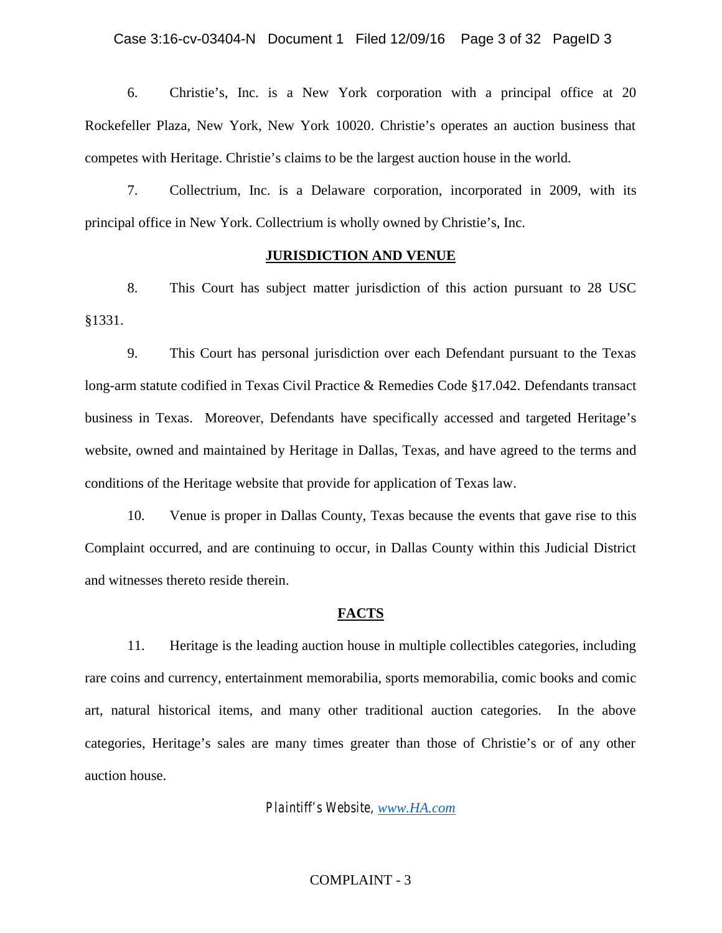6. Christie's, Inc. is a New York corporation with a principal office at 20 Rockefeller Plaza, New York, New York 10020. Christie's operates an auction business that competes with Heritage. Christie's claims to be the largest auction house in the world.

7. Collectrium, Inc. is a Delaware corporation, incorporated in 2009, with its principal office in New York. Collectrium is wholly owned by Christie's, Inc.

#### **JURISDICTION AND VENUE**

8. This Court has subject matter jurisdiction of this action pursuant to 28 USC §1331.

9. This Court has personal jurisdiction over each Defendant pursuant to the Texas long-arm statute codified in Texas Civil Practice & Remedies Code §17.042. Defendants transact business in Texas. Moreover, Defendants have specifically accessed and targeted Heritage's website, owned and maintained by Heritage in Dallas, Texas, and have agreed to the terms and conditions of the Heritage website that provide for application of Texas law.

10. Venue is proper in Dallas County, Texas because the events that gave rise to this Complaint occurred, and are continuing to occur, in Dallas County within this Judicial District and witnesses thereto reside therein.

#### **FACTS**

11. Heritage is the leading auction house in multiple collectibles categories, including rare coins and currency, entertainment memorabilia, sports memorabilia, comic books and comic art, natural historical items, and many other traditional auction categories. In the above categories, Heritage's sales are many times greater than those of Christie's or of any other auction house.

*Plaintiff's Website, www.HA.com*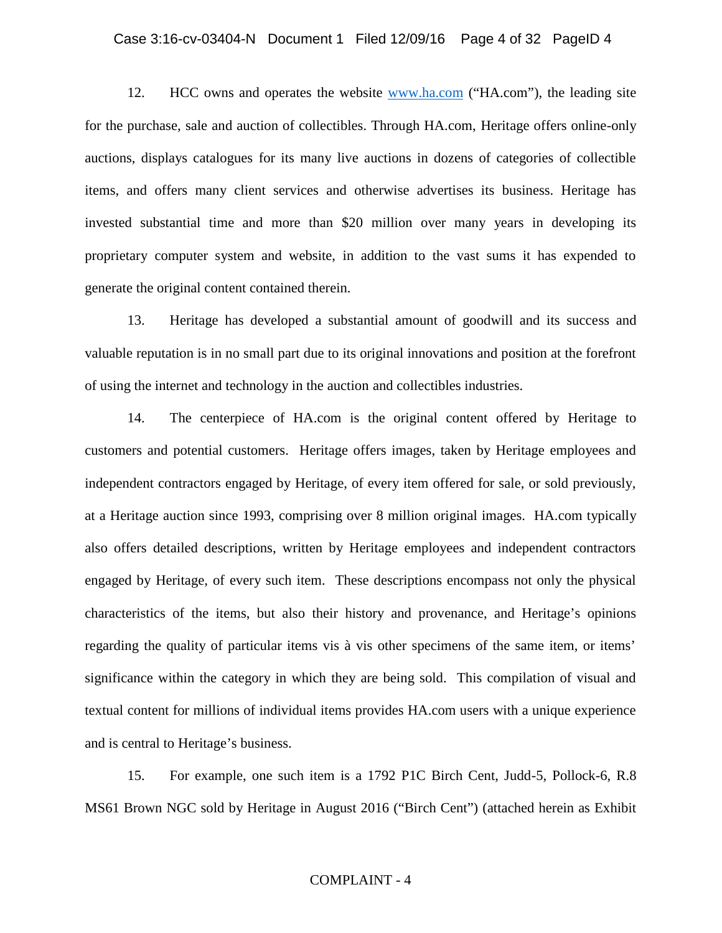#### Case 3:16-cv-03404-N Document 1 Filed 12/09/16 Page 4 of 32 PageID 4

12. HCC owns and operates the website www.ha.com ("HA.com"), the leading site for the purchase, sale and auction of collectibles. Through HA.com, Heritage offers online-only auctions, displays catalogues for its many live auctions in dozens of categories of collectible items, and offers many client services and otherwise advertises its business. Heritage has invested substantial time and more than \$20 million over many years in developing its proprietary computer system and website, in addition to the vast sums it has expended to generate the original content contained therein.

13. Heritage has developed a substantial amount of goodwill and its success and valuable reputation is in no small part due to its original innovations and position at the forefront of using the internet and technology in the auction and collectibles industries.

14. The centerpiece of HA.com is the original content offered by Heritage to customers and potential customers. Heritage offers images, taken by Heritage employees and independent contractors engaged by Heritage, of every item offered for sale, or sold previously, at a Heritage auction since 1993, comprising over 8 million original images. HA.com typically also offers detailed descriptions, written by Heritage employees and independent contractors engaged by Heritage, of every such item. These descriptions encompass not only the physical characteristics of the items, but also their history and provenance, and Heritage's opinions regarding the quality of particular items vis à vis other specimens of the same item, or items' significance within the category in which they are being sold. This compilation of visual and textual content for millions of individual items provides HA.com users with a unique experience and is central to Heritage's business.

15. For example, one such item is a 1792 P1C Birch Cent, Judd-5, Pollock-6, R.8 MS61 Brown NGC sold by Heritage in August 2016 ("Birch Cent") (attached herein as Exhibit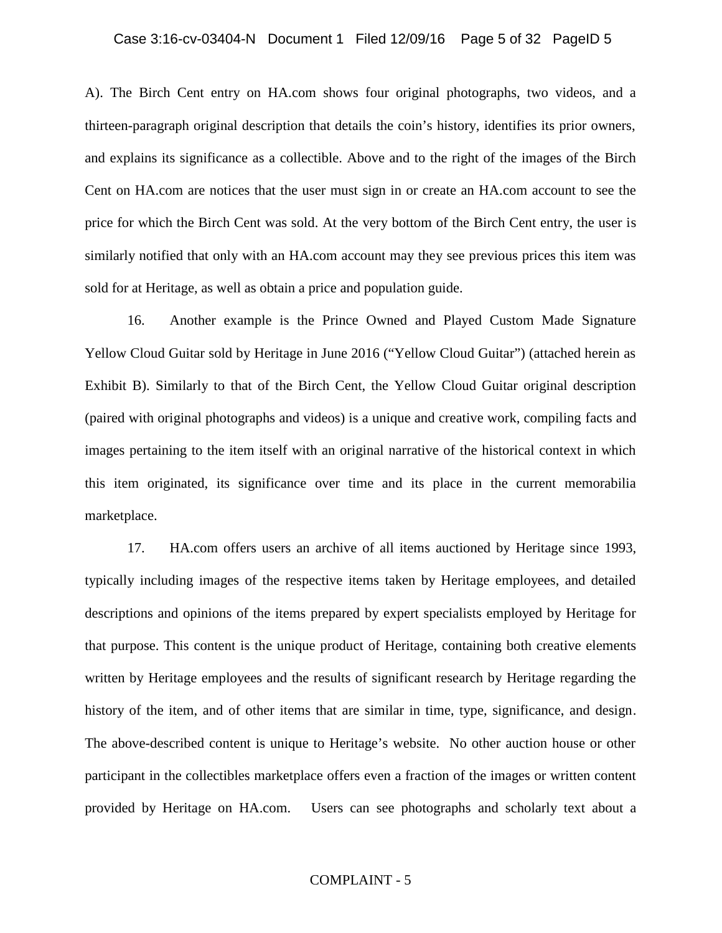#### Case 3:16-cv-03404-N Document 1 Filed 12/09/16 Page 5 of 32 PageID 5

A). The Birch Cent entry on HA.com shows four original photographs, two videos, and a thirteen-paragraph original description that details the coin's history, identifies its prior owners, and explains its significance as a collectible. Above and to the right of the images of the Birch Cent on HA.com are notices that the user must sign in or create an HA.com account to see the price for which the Birch Cent was sold. At the very bottom of the Birch Cent entry, the user is similarly notified that only with an HA.com account may they see previous prices this item was sold for at Heritage, as well as obtain a price and population guide.

16. Another example is the Prince Owned and Played Custom Made Signature Yellow Cloud Guitar sold by Heritage in June 2016 ("Yellow Cloud Guitar") (attached herein as Exhibit B). Similarly to that of the Birch Cent, the Yellow Cloud Guitar original description (paired with original photographs and videos) is a unique and creative work, compiling facts and images pertaining to the item itself with an original narrative of the historical context in which this item originated, its significance over time and its place in the current memorabilia marketplace.

17. HA.com offers users an archive of all items auctioned by Heritage since 1993, typically including images of the respective items taken by Heritage employees, and detailed descriptions and opinions of the items prepared by expert specialists employed by Heritage for that purpose. This content is the unique product of Heritage, containing both creative elements written by Heritage employees and the results of significant research by Heritage regarding the history of the item, and of other items that are similar in time, type, significance, and design. The above-described content is unique to Heritage's website. No other auction house or other participant in the collectibles marketplace offers even a fraction of the images or written content provided by Heritage on HA.com. Users can see photographs and scholarly text about a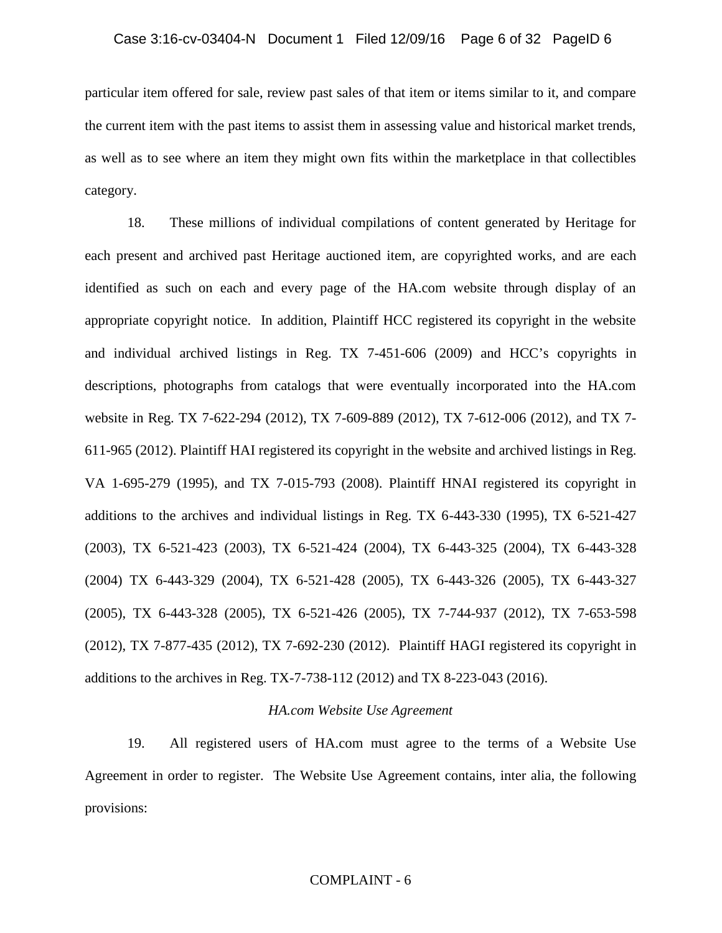particular item offered for sale, review past sales of that item or items similar to it, and compare the current item with the past items to assist them in assessing value and historical market trends, as well as to see where an item they might own fits within the marketplace in that collectibles category.

18. These millions of individual compilations of content generated by Heritage for each present and archived past Heritage auctioned item, are copyrighted works, and are each identified as such on each and every page of the HA.com website through display of an appropriate copyright notice. In addition, Plaintiff HCC registered its copyright in the website and individual archived listings in Reg. TX 7-451-606 (2009) and HCC's copyrights in descriptions, photographs from catalogs that were eventually incorporated into the HA.com website in Reg. TX 7-622-294 (2012), TX 7-609-889 (2012), TX 7-612-006 (2012), and TX 7- 611-965 (2012). Plaintiff HAI registered its copyright in the website and archived listings in Reg. VA 1-695-279 (1995), and TX 7-015-793 (2008). Plaintiff HNAI registered its copyright in additions to the archives and individual listings in Reg. TX 6-443-330 (1995), TX 6-521-427 (2003), TX 6-521-423 (2003), TX 6-521-424 (2004), TX 6-443-325 (2004), TX 6-443-328 (2004) TX 6-443-329 (2004), TX 6-521-428 (2005), TX 6-443-326 (2005), TX 6-443-327 (2005), TX 6-443-328 (2005), TX 6-521-426 (2005), TX 7-744-937 (2012), TX 7-653-598 (2012), TX 7-877-435 (2012), TX 7-692-230 (2012). Plaintiff HAGI registered its copyright in additions to the archives in Reg. TX-7-738-112 (2012) and TX 8-223-043 (2016).

#### *HA.com Website Use Agreement*

19. All registered users of HA.com must agree to the terms of a Website Use Agreement in order to register. The Website Use Agreement contains, inter alia, the following provisions: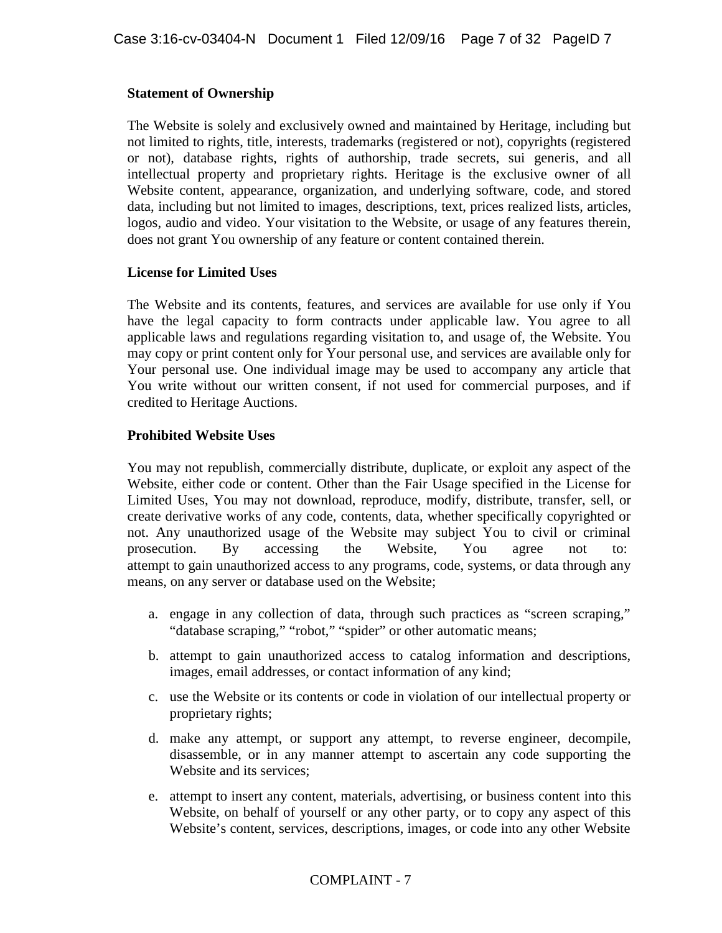## **Statement of Ownership**

The Website is solely and exclusively owned and maintained by Heritage, including but not limited to rights, title, interests, trademarks (registered or not), copyrights (registered or not), database rights, rights of authorship, trade secrets, sui generis, and all intellectual property and proprietary rights. Heritage is the exclusive owner of all Website content, appearance, organization, and underlying software, code, and stored data, including but not limited to images, descriptions, text, prices realized lists, articles, logos, audio and video. Your visitation to the Website, or usage of any features therein, does not grant You ownership of any feature or content contained therein.

## **License for Limited Uses**

The Website and its contents, features, and services are available for use only if You have the legal capacity to form contracts under applicable law. You agree to all applicable laws and regulations regarding visitation to, and usage of, the Website. You may copy or print content only for Your personal use, and services are available only for Your personal use. One individual image may be used to accompany any article that You write without our written consent, if not used for commercial purposes, and if credited to Heritage Auctions.

## **Prohibited Website Uses**

You may not republish, commercially distribute, duplicate, or exploit any aspect of the Website, either code or content. Other than the Fair Usage specified in the License for Limited Uses, You may not download, reproduce, modify, distribute, transfer, sell, or create derivative works of any code, contents, data, whether specifically copyrighted or not. Any unauthorized usage of the Website may subject You to civil or criminal prosecution. By accessing the Website, You agree not to: attempt to gain unauthorized access to any programs, code, systems, or data through any means, on any server or database used on the Website;

- a. engage in any collection of data, through such practices as "screen scraping," "database scraping," "robot," "spider" or other automatic means;
- b. attempt to gain unauthorized access to catalog information and descriptions, images, email addresses, or contact information of any kind;
- c. use the Website or its contents or code in violation of our intellectual property or proprietary rights;
- d. make any attempt, or support any attempt, to reverse engineer, decompile, disassemble, or in any manner attempt to ascertain any code supporting the Website and its services;
- e. attempt to insert any content, materials, advertising, or business content into this Website, on behalf of yourself or any other party, or to copy any aspect of this Website's content, services, descriptions, images, or code into any other Website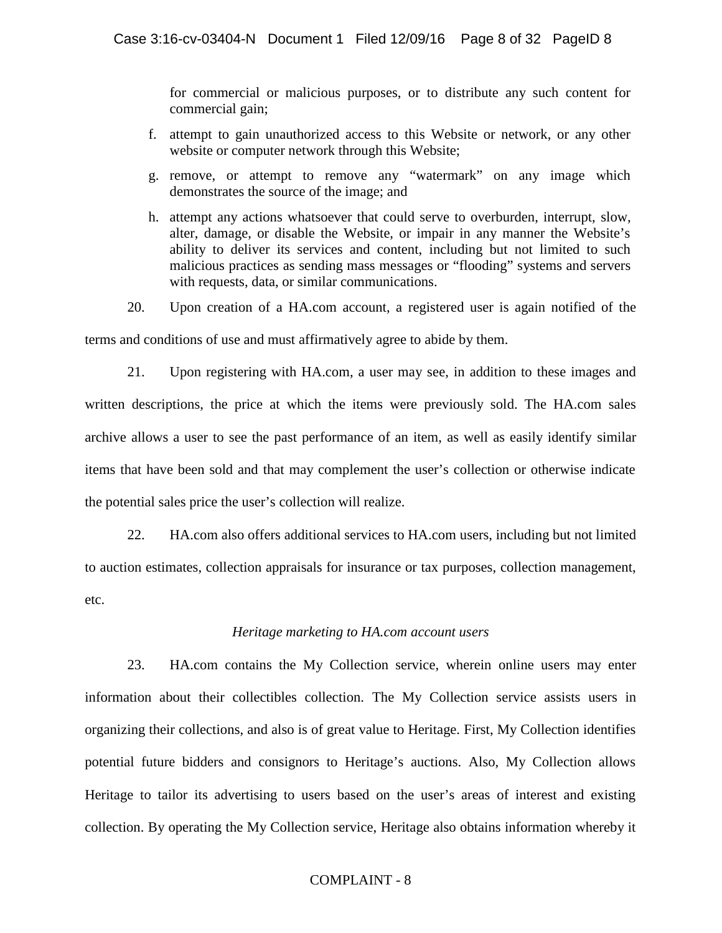for commercial or malicious purposes, or to distribute any such content for commercial gain;

- f. attempt to gain unauthorized access to this Website or network, or any other website or computer network through this Website;
- g. remove, or attempt to remove any "watermark" on any image which demonstrates the source of the image; and
- h. attempt any actions whatsoever that could serve to overburden, interrupt, slow, alter, damage, or disable the Website, or impair in any manner the Website's ability to deliver its services and content, including but not limited to such malicious practices as sending mass messages or "flooding" systems and servers with requests, data, or similar communications.
- 20. Upon creation of a HA.com account, a registered user is again notified of the

terms and conditions of use and must affirmatively agree to abide by them.

21. Upon registering with HA.com, a user may see, in addition to these images and written descriptions, the price at which the items were previously sold. The HA.com sales archive allows a user to see the past performance of an item, as well as easily identify similar items that have been sold and that may complement the user's collection or otherwise indicate the potential sales price the user's collection will realize.

22. HA.com also offers additional services to HA.com users, including but not limited to auction estimates, collection appraisals for insurance or tax purposes, collection management, etc.

## *Heritage marketing to HA.com account users*

23. HA.com contains the My Collection service, wherein online users may enter information about their collectibles collection. The My Collection service assists users in organizing their collections, and also is of great value to Heritage. First, My Collection identifies potential future bidders and consignors to Heritage's auctions. Also, My Collection allows Heritage to tailor its advertising to users based on the user's areas of interest and existing collection. By operating the My Collection service, Heritage also obtains information whereby it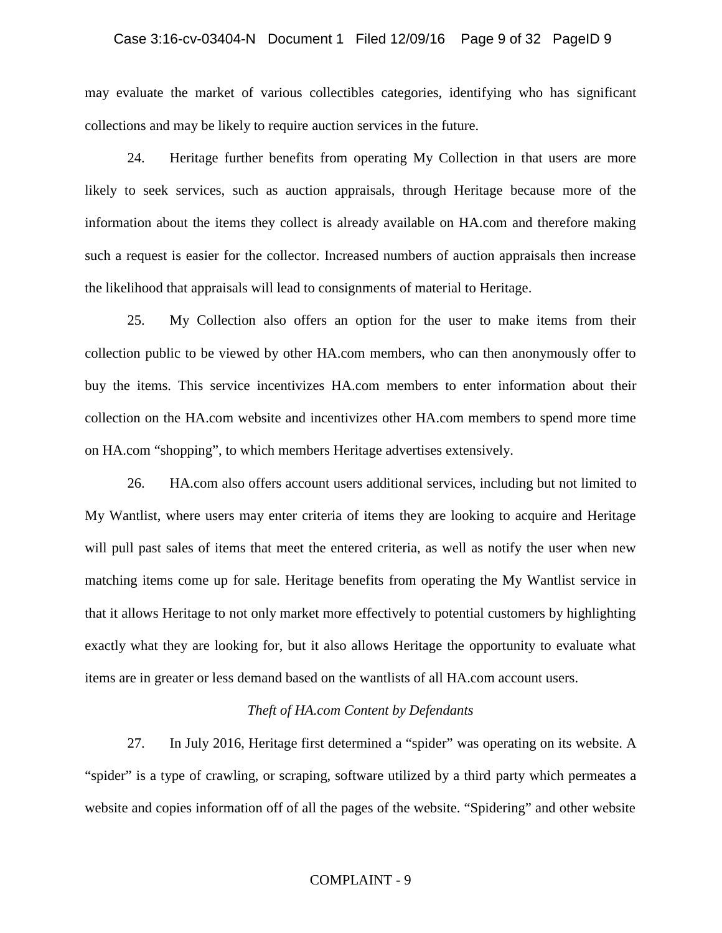## Case 3:16-cv-03404-N Document 1 Filed 12/09/16 Page 9 of 32 PageID 9

may evaluate the market of various collectibles categories, identifying who has significant collections and may be likely to require auction services in the future.

24. Heritage further benefits from operating My Collection in that users are more likely to seek services, such as auction appraisals, through Heritage because more of the information about the items they collect is already available on HA.com and therefore making such a request is easier for the collector. Increased numbers of auction appraisals then increase the likelihood that appraisals will lead to consignments of material to Heritage.

25. My Collection also offers an option for the user to make items from their collection public to be viewed by other HA.com members, who can then anonymously offer to buy the items. This service incentivizes HA.com members to enter information about their collection on the HA.com website and incentivizes other HA.com members to spend more time on HA.com "shopping", to which members Heritage advertises extensively.

26. HA.com also offers account users additional services, including but not limited to My Wantlist, where users may enter criteria of items they are looking to acquire and Heritage will pull past sales of items that meet the entered criteria, as well as notify the user when new matching items come up for sale. Heritage benefits from operating the My Wantlist service in that it allows Heritage to not only market more effectively to potential customers by highlighting exactly what they are looking for, but it also allows Heritage the opportunity to evaluate what items are in greater or less demand based on the wantlists of all HA.com account users.

#### *Theft of HA.com Content by Defendants*

27. In July 2016, Heritage first determined a "spider" was operating on its website. A "spider" is a type of crawling, or scraping, software utilized by a third party which permeates a website and copies information off of all the pages of the website. "Spidering" and other website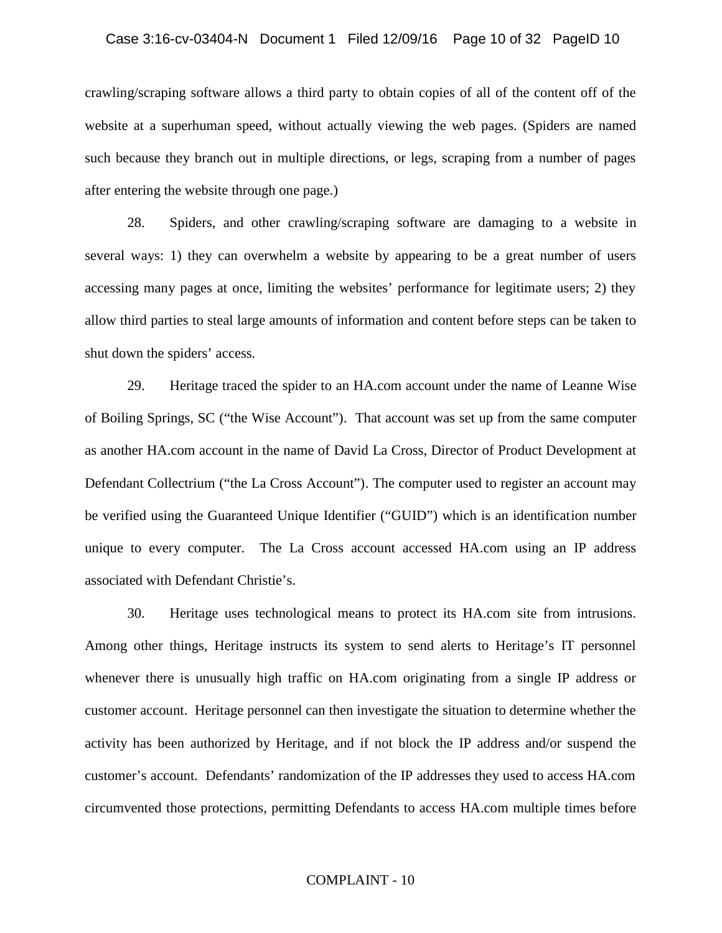#### Case 3:16-cv-03404-N Document 1 Filed 12/09/16 Page 10 of 32 PageID 10

crawling/scraping software allows a third party to obtain copies of all of the content off of the website at a superhuman speed, without actually viewing the web pages. (Spiders are named such because they branch out in multiple directions, or legs, scraping from a number of pages after entering the website through one page.)

28. Spiders, and other crawling/scraping software are damaging to a website in several ways: 1) they can overwhelm a website by appearing to be a great number of users accessing many pages at once, limiting the websites' performance for legitimate users; 2) they allow third parties to steal large amounts of information and content before steps can be taken to shut down the spiders' access.

29. Heritage traced the spider to an HA.com account under the name of Leanne Wise of Boiling Springs, SC ("the Wise Account"). That account was set up from the same computer as another HA.com account in the name of David La Cross, Director of Product Development at Defendant Collectrium ("the La Cross Account"). The computer used to register an account may be verified using the Guaranteed Unique Identifier ("GUID") which is an identification number unique to every computer. The La Cross account accessed HA.com using an IP address associated with Defendant Christie's.

30. Heritage uses technological means to protect its HA.com site from intrusions. Among other things, Heritage instructs its system to send alerts to Heritage's IT personnel whenever there is unusually high traffic on HA.com originating from a single IP address or customer account. Heritage personnel can then investigate the situation to determine whether the activity has been authorized by Heritage, and if not block the IP address and/or suspend the customer's account. Defendants' randomization of the IP addresses they used to access HA.com circumvented those protections, permitting Defendants to access HA.com multiple times before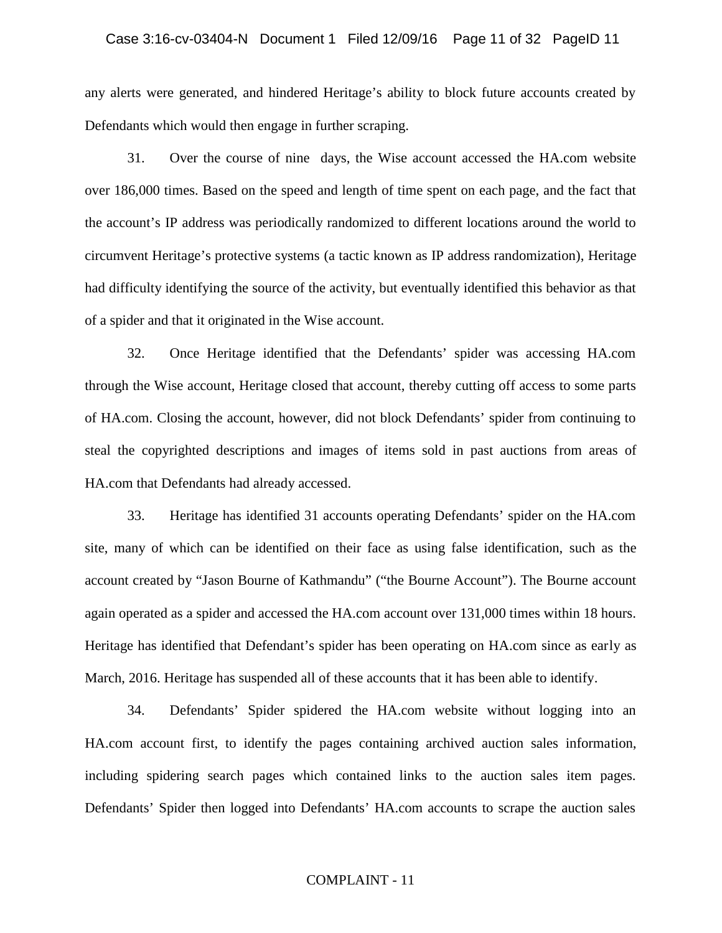any alerts were generated, and hindered Heritage's ability to block future accounts created by Defendants which would then engage in further scraping.

31. Over the course of nine days, the Wise account accessed the HA.com website over 186,000 times. Based on the speed and length of time spent on each page, and the fact that the account's IP address was periodically randomized to different locations around the world to circumvent Heritage's protective systems (a tactic known as IP address randomization), Heritage had difficulty identifying the source of the activity, but eventually identified this behavior as that of a spider and that it originated in the Wise account.

32. Once Heritage identified that the Defendants' spider was accessing HA.com through the Wise account, Heritage closed that account, thereby cutting off access to some parts of HA.com. Closing the account, however, did not block Defendants' spider from continuing to steal the copyrighted descriptions and images of items sold in past auctions from areas of HA.com that Defendants had already accessed.

33. Heritage has identified 31 accounts operating Defendants' spider on the HA.com site, many of which can be identified on their face as using false identification, such as the account created by "Jason Bourne of Kathmandu" ("the Bourne Account"). The Bourne account again operated as a spider and accessed the HA.com account over 131,000 times within 18 hours. Heritage has identified that Defendant's spider has been operating on HA.com since as early as March, 2016. Heritage has suspended all of these accounts that it has been able to identify.

34. Defendants' Spider spidered the HA.com website without logging into an HA.com account first, to identify the pages containing archived auction sales information, including spidering search pages which contained links to the auction sales item pages. Defendants' Spider then logged into Defendants' HA.com accounts to scrape the auction sales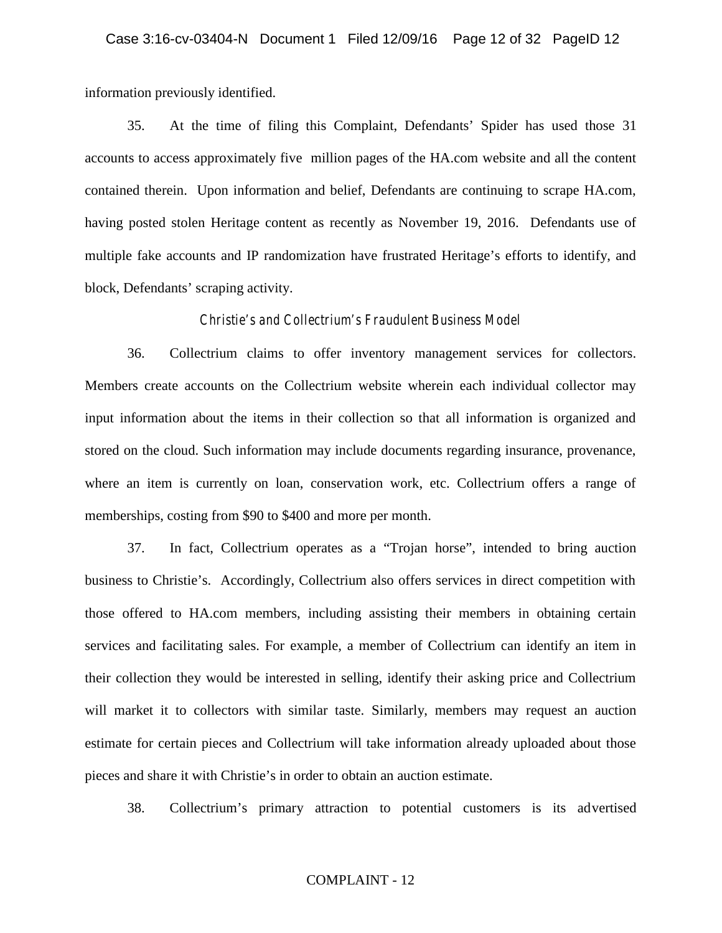information previously identified.

35. At the time of filing this Complaint, Defendants' Spider has used those 31 accounts to access approximately five million pages of the HA.com website and all the content contained therein. Upon information and belief, Defendants are continuing to scrape HA.com, having posted stolen Heritage content as recently as November 19, 2016. Defendants use of multiple fake accounts and IP randomization have frustrated Heritage's efforts to identify, and block, Defendants' scraping activity.

#### *Christie's and Collectrium's Fraudulent Business Model*

36. Collectrium claims to offer inventory management services for collectors. Members create accounts on the Collectrium website wherein each individual collector may input information about the items in their collection so that all information is organized and stored on the cloud. Such information may include documents regarding insurance, provenance, where an item is currently on loan, conservation work, etc. Collectrium offers a range of memberships, costing from \$90 to \$400 and more per month.

37. In fact, Collectrium operates as a "Trojan horse", intended to bring auction business to Christie's. Accordingly, Collectrium also offers services in direct competition with those offered to HA.com members, including assisting their members in obtaining certain services and facilitating sales. For example, a member of Collectrium can identify an item in their collection they would be interested in selling, identify their asking price and Collectrium will market it to collectors with similar taste. Similarly, members may request an auction estimate for certain pieces and Collectrium will take information already uploaded about those pieces and share it with Christie's in order to obtain an auction estimate.

38. Collectrium's primary attraction to potential customers is its advertised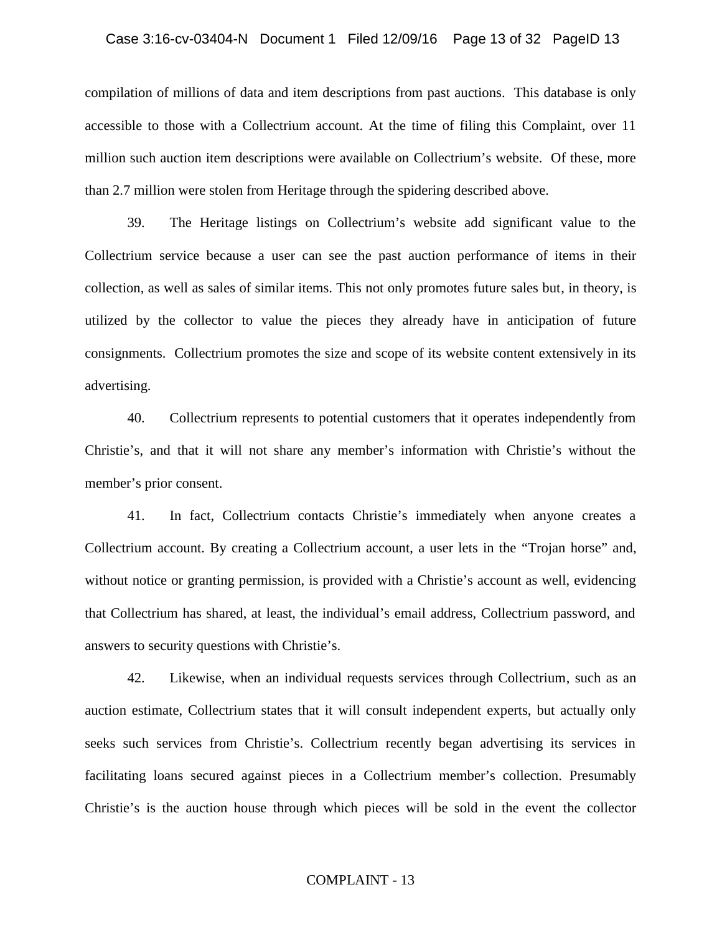#### Case 3:16-cv-03404-N Document 1 Filed 12/09/16 Page 13 of 32 PageID 13

compilation of millions of data and item descriptions from past auctions. This database is only accessible to those with a Collectrium account. At the time of filing this Complaint, over 11 million such auction item descriptions were available on Collectrium's website. Of these, more than 2.7 million were stolen from Heritage through the spidering described above.

39. The Heritage listings on Collectrium's website add significant value to the Collectrium service because a user can see the past auction performance of items in their collection, as well as sales of similar items. This not only promotes future sales but, in theory, is utilized by the collector to value the pieces they already have in anticipation of future consignments. Collectrium promotes the size and scope of its website content extensively in its advertising.

40. Collectrium represents to potential customers that it operates independently from Christie's, and that it will not share any member's information with Christie's without the member's prior consent.

41. In fact, Collectrium contacts Christie's immediately when anyone creates a Collectrium account. By creating a Collectrium account, a user lets in the "Trojan horse" and, without notice or granting permission, is provided with a Christie's account as well, evidencing that Collectrium has shared, at least, the individual's email address, Collectrium password, and answers to security questions with Christie's.

42. Likewise, when an individual requests services through Collectrium, such as an auction estimate, Collectrium states that it will consult independent experts, but actually only seeks such services from Christie's. Collectrium recently began advertising its services in facilitating loans secured against pieces in a Collectrium member's collection. Presumably Christie's is the auction house through which pieces will be sold in the event the collector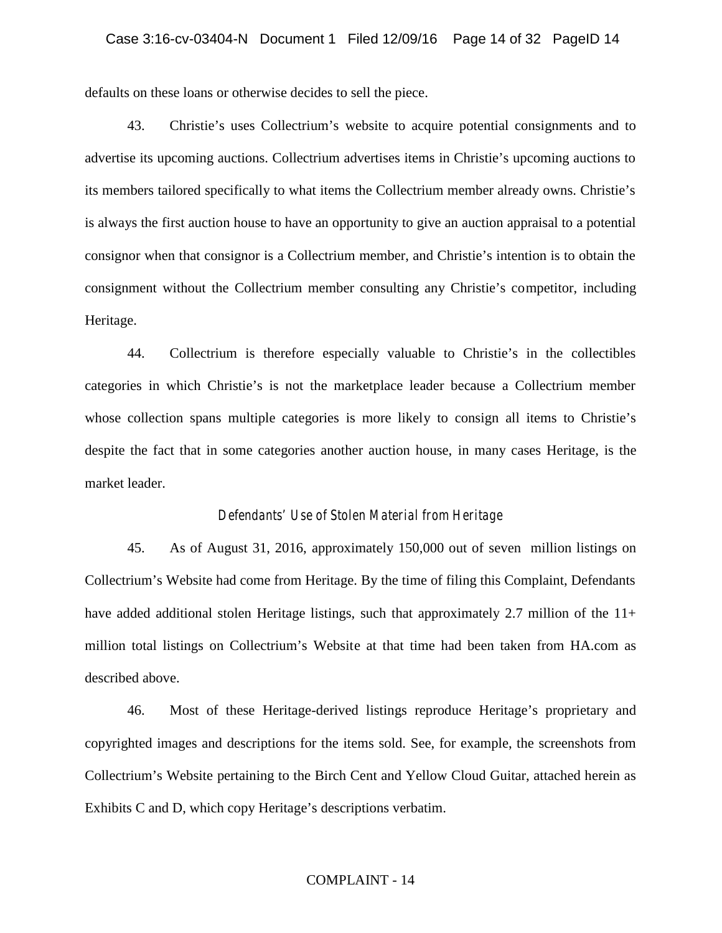defaults on these loans or otherwise decides to sell the piece.

43. Christie's uses Collectrium's website to acquire potential consignments and to advertise its upcoming auctions. Collectrium advertises items in Christie's upcoming auctions to its members tailored specifically to what items the Collectrium member already owns. Christie's is always the first auction house to have an opportunity to give an auction appraisal to a potential consignor when that consignor is a Collectrium member, and Christie's intention is to obtain the consignment without the Collectrium member consulting any Christie's competitor, including Heritage.

44. Collectrium is therefore especially valuable to Christie's in the collectibles categories in which Christie's is not the marketplace leader because a Collectrium member whose collection spans multiple categories is more likely to consign all items to Christie's despite the fact that in some categories another auction house, in many cases Heritage, is the market leader.

#### *Defendants' Use of Stolen Material from Heritage*

45. As of August 31, 2016, approximately 150,000 out of seven million listings on Collectrium's Website had come from Heritage. By the time of filing this Complaint, Defendants have added additional stolen Heritage listings, such that approximately 2.7 million of the 11+ million total listings on Collectrium's Website at that time had been taken from HA.com as described above.

46. Most of these Heritage-derived listings reproduce Heritage's proprietary and copyrighted images and descriptions for the items sold. See, for example, the screenshots from Collectrium's Website pertaining to the Birch Cent and Yellow Cloud Guitar, attached herein as Exhibits C and D, which copy Heritage's descriptions verbatim.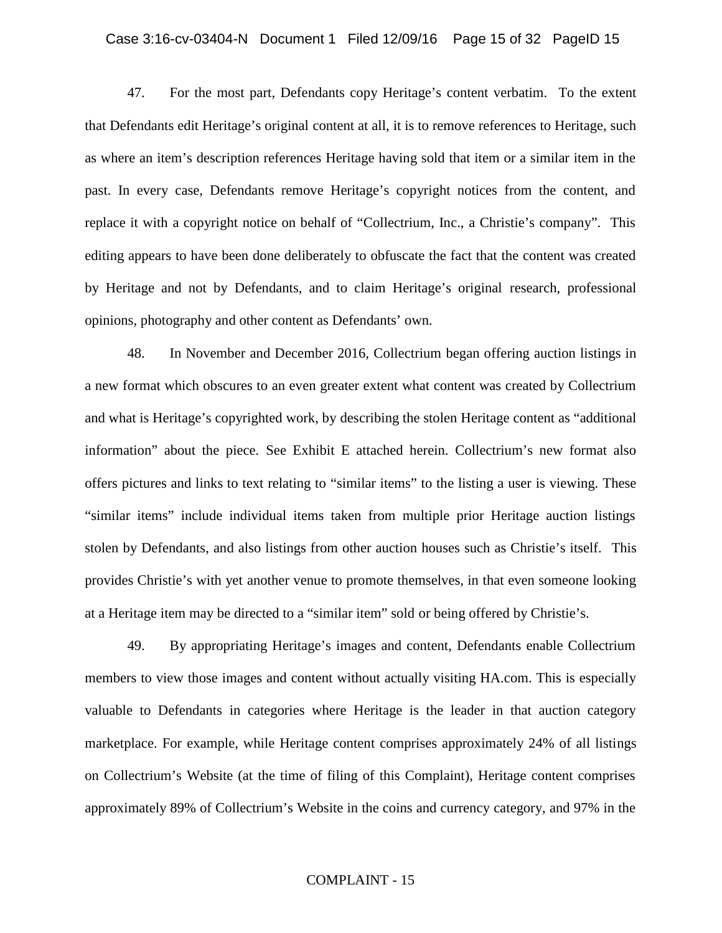#### Case 3:16-cv-03404-N Document 1 Filed 12/09/16 Page 15 of 32 PageID 15

47. For the most part, Defendants copy Heritage's content verbatim. To the extent that Defendants edit Heritage's original content at all, it is to remove references to Heritage, such as where an item's description references Heritage having sold that item or a similar item in the past. In every case, Defendants remove Heritage's copyright notices from the content, and replace it with a copyright notice on behalf of "Collectrium, Inc., a Christie's company". This editing appears to have been done deliberately to obfuscate the fact that the content was created by Heritage and not by Defendants, and to claim Heritage's original research, professional opinions, photography and other content as Defendants' own.

48. In November and December 2016, Collectrium began offering auction listings in a new format which obscures to an even greater extent what content was created by Collectrium and what is Heritage's copyrighted work, by describing the stolen Heritage content as "additional information" about the piece. See Exhibit E attached herein. Collectrium's new format also offers pictures and links to text relating to "similar items" to the listing a user is viewing. These "similar items" include individual items taken from multiple prior Heritage auction listings stolen by Defendants, and also listings from other auction houses such as Christie's itself. This provides Christie's with yet another venue to promote themselves, in that even someone looking at a Heritage item may be directed to a "similar item" sold or being offered by Christie's.

49. By appropriating Heritage's images and content, Defendants enable Collectrium members to view those images and content without actually visiting HA.com. This is especially valuable to Defendants in categories where Heritage is the leader in that auction category marketplace. For example, while Heritage content comprises approximately 24% of all listings on Collectrium's Website (at the time of filing of this Complaint), Heritage content comprises approximately 89% of Collectrium's Website in the coins and currency category, and 97% in the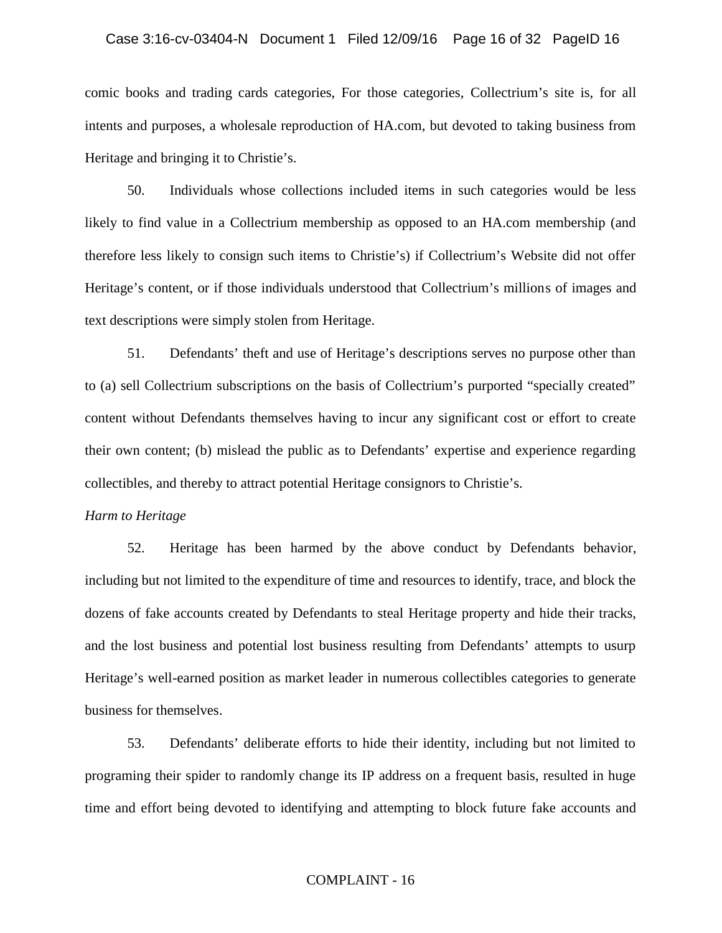#### Case 3:16-cv-03404-N Document 1 Filed 12/09/16 Page 16 of 32 PageID 16

comic books and trading cards categories, For those categories, Collectrium's site is, for all intents and purposes, a wholesale reproduction of HA.com, but devoted to taking business from Heritage and bringing it to Christie's.

50. Individuals whose collections included items in such categories would be less likely to find value in a Collectrium membership as opposed to an HA.com membership (and therefore less likely to consign such items to Christie's) if Collectrium's Website did not offer Heritage's content, or if those individuals understood that Collectrium's millions of images and text descriptions were simply stolen from Heritage.

51. Defendants' theft and use of Heritage's descriptions serves no purpose other than to (a) sell Collectrium subscriptions on the basis of Collectrium's purported "specially created" content without Defendants themselves having to incur any significant cost or effort to create their own content; (b) mislead the public as to Defendants' expertise and experience regarding collectibles, and thereby to attract potential Heritage consignors to Christie's.

#### *Harm to Heritage*

52. Heritage has been harmed by the above conduct by Defendants behavior, including but not limited to the expenditure of time and resources to identify, trace, and block the dozens of fake accounts created by Defendants to steal Heritage property and hide their tracks, and the lost business and potential lost business resulting from Defendants' attempts to usurp Heritage's well-earned position as market leader in numerous collectibles categories to generate business for themselves.

53. Defendants' deliberate efforts to hide their identity, including but not limited to programing their spider to randomly change its IP address on a frequent basis, resulted in huge time and effort being devoted to identifying and attempting to block future fake accounts and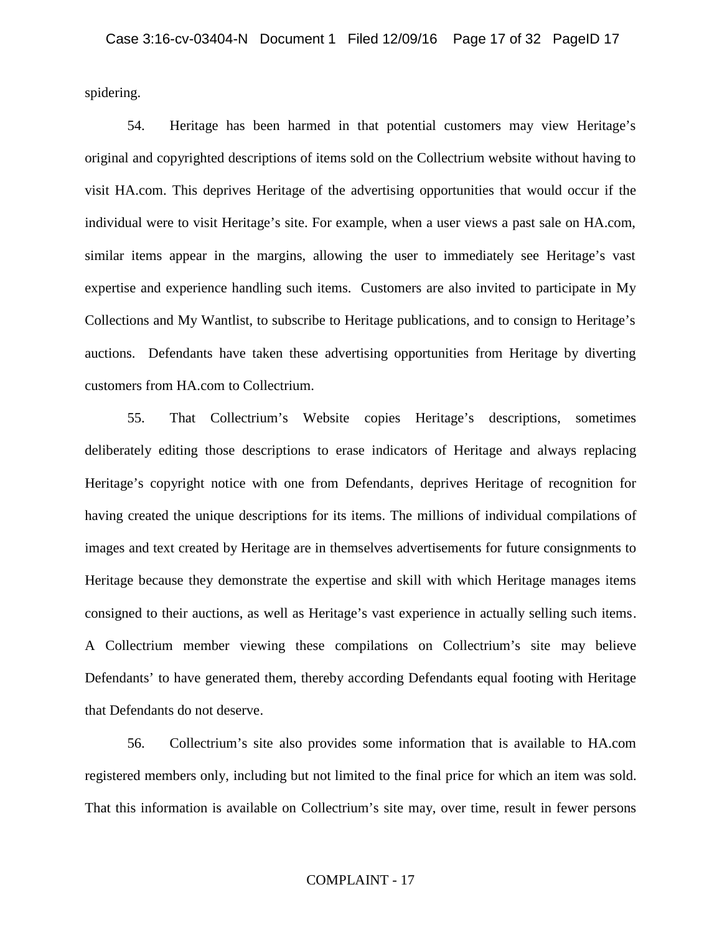spidering.

54. Heritage has been harmed in that potential customers may view Heritage's original and copyrighted descriptions of items sold on the Collectrium website without having to visit HA.com. This deprives Heritage of the advertising opportunities that would occur if the individual were to visit Heritage's site. For example, when a user views a past sale on HA.com, similar items appear in the margins, allowing the user to immediately see Heritage's vast expertise and experience handling such items. Customers are also invited to participate in My Collections and My Wantlist, to subscribe to Heritage publications, and to consign to Heritage's auctions. Defendants have taken these advertising opportunities from Heritage by diverting customers from HA.com to Collectrium.

55. That Collectrium's Website copies Heritage's descriptions, sometimes deliberately editing those descriptions to erase indicators of Heritage and always replacing Heritage's copyright notice with one from Defendants, deprives Heritage of recognition for having created the unique descriptions for its items. The millions of individual compilations of images and text created by Heritage are in themselves advertisements for future consignments to Heritage because they demonstrate the expertise and skill with which Heritage manages items consigned to their auctions, as well as Heritage's vast experience in actually selling such items. A Collectrium member viewing these compilations on Collectrium's site may believe Defendants' to have generated them, thereby according Defendants equal footing with Heritage that Defendants do not deserve.

56. Collectrium's site also provides some information that is available to HA.com registered members only, including but not limited to the final price for which an item was sold. That this information is available on Collectrium's site may, over time, result in fewer persons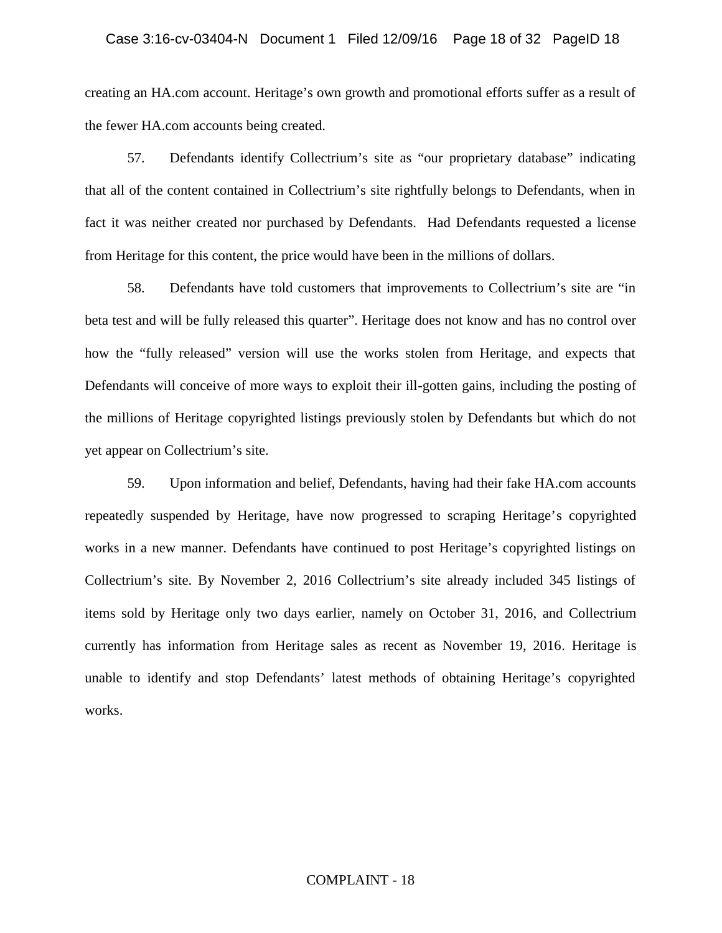creating an HA.com account. Heritage's own growth and promotional efforts suffer as a result of the fewer HA.com accounts being created.

57. Defendants identify Collectrium's site as "our proprietary database" indicating that all of the content contained in Collectrium's site rightfully belongs to Defendants, when in fact it was neither created nor purchased by Defendants. Had Defendants requested a license from Heritage for this content, the price would have been in the millions of dollars.

58. Defendants have told customers that improvements to Collectrium's site are "in beta test and will be fully released this quarter". Heritage does not know and has no control over how the "fully released" version will use the works stolen from Heritage, and expects that Defendants will conceive of more ways to exploit their ill-gotten gains, including the posting of the millions of Heritage copyrighted listings previously stolen by Defendants but which do not yet appear on Collectrium's site.

59. Upon information and belief, Defendants, having had their fake HA.com accounts repeatedly suspended by Heritage, have now progressed to scraping Heritage's copyrighted works in a new manner. Defendants have continued to post Heritage's copyrighted listings on Collectrium's site. By November 2, 2016 Collectrium's site already included 345 listings of items sold by Heritage only two days earlier, namely on October 31, 2016, and Collectrium currently has information from Heritage sales as recent as November 19, 2016. Heritage is unable to identify and stop Defendants' latest methods of obtaining Heritage's copyrighted works.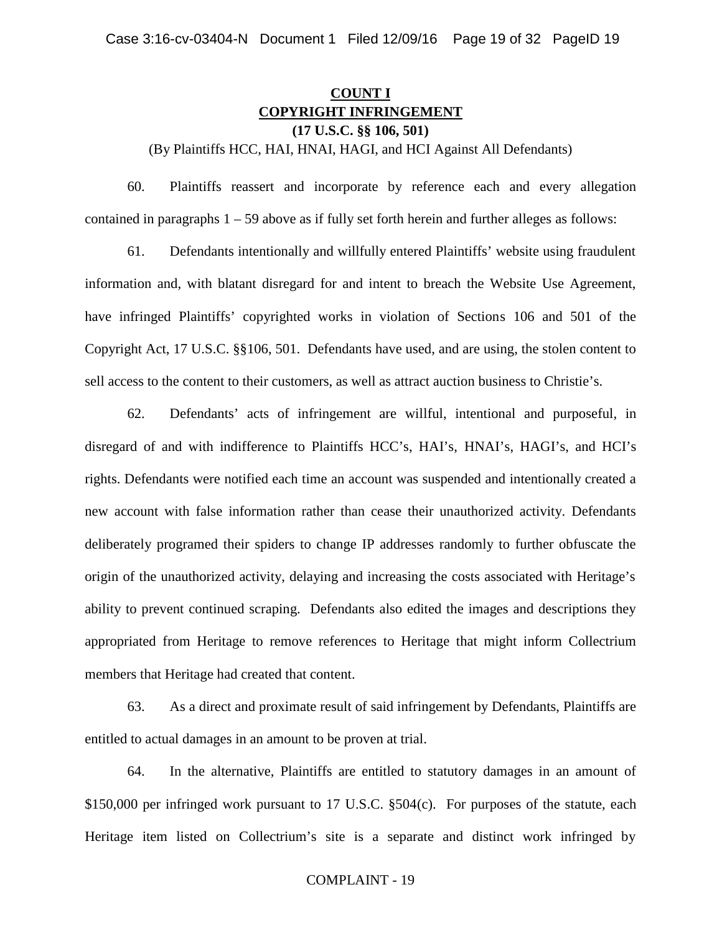## **COUNT I COPYRIGHT INFRINGEMENT (17 U.S.C. §§ 106, 501)**

(By Plaintiffs HCC, HAI, HNAI, HAGI, and HCI Against All Defendants)

60. Plaintiffs reassert and incorporate by reference each and every allegation contained in paragraphs  $1 - 59$  above as if fully set forth herein and further alleges as follows:

61. Defendants intentionally and willfully entered Plaintiffs' website using fraudulent information and, with blatant disregard for and intent to breach the Website Use Agreement, have infringed Plaintiffs' copyrighted works in violation of Sections 106 and 501 of the Copyright Act, 17 U.S.C. §§106, 501. Defendants have used, and are using, the stolen content to sell access to the content to their customers, as well as attract auction business to Christie's.

62. Defendants' acts of infringement are willful, intentional and purposeful, in disregard of and with indifference to Plaintiffs HCC's, HAI's, HNAI's, HAGI's, and HCI's rights. Defendants were notified each time an account was suspended and intentionally created a new account with false information rather than cease their unauthorized activity. Defendants deliberately programed their spiders to change IP addresses randomly to further obfuscate the origin of the unauthorized activity, delaying and increasing the costs associated with Heritage's ability to prevent continued scraping. Defendants also edited the images and descriptions they appropriated from Heritage to remove references to Heritage that might inform Collectrium members that Heritage had created that content.

63. As a direct and proximate result of said infringement by Defendants, Plaintiffs are entitled to actual damages in an amount to be proven at trial.

64. In the alternative, Plaintiffs are entitled to statutory damages in an amount of \$150,000 per infringed work pursuant to 17 U.S.C. §504(c). For purposes of the statute, each Heritage item listed on Collectrium's site is a separate and distinct work infringed by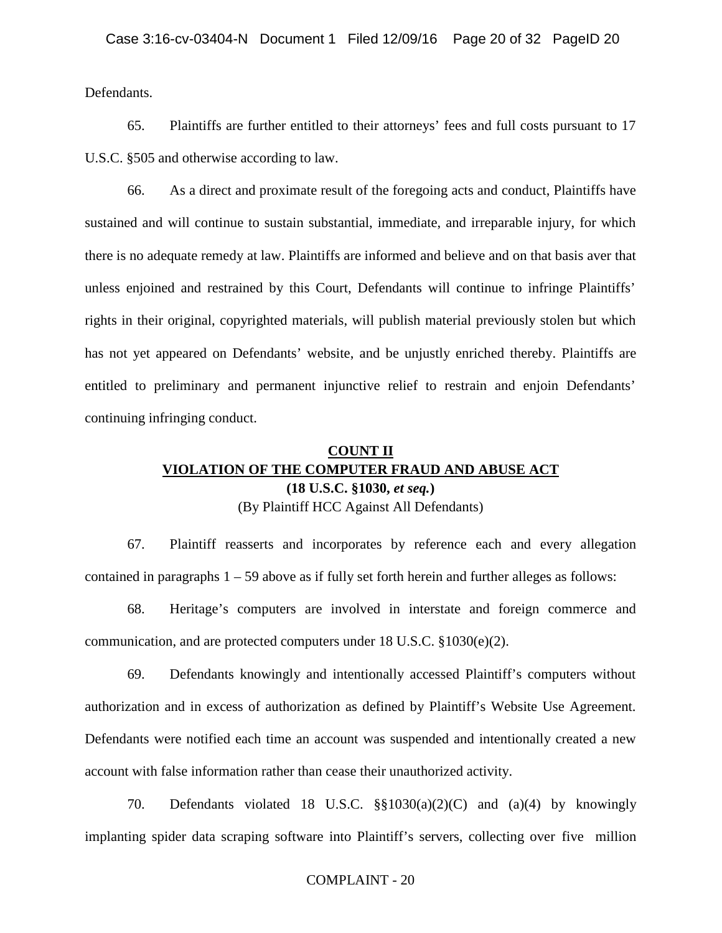Defendants.

65. Plaintiffs are further entitled to their attorneys' fees and full costs pursuant to 17 U.S.C. §505 and otherwise according to law.

66. As a direct and proximate result of the foregoing acts and conduct, Plaintiffs have sustained and will continue to sustain substantial, immediate, and irreparable injury, for which there is no adequate remedy at law. Plaintiffs are informed and believe and on that basis aver that unless enjoined and restrained by this Court, Defendants will continue to infringe Plaintiffs' rights in their original, copyrighted materials, will publish material previously stolen but which has not yet appeared on Defendants' website, and be unjustly enriched thereby. Plaintiffs are entitled to preliminary and permanent injunctive relief to restrain and enjoin Defendants' continuing infringing conduct.

## **COUNT II VIOLATION OF THE COMPUTER FRAUD AND ABUSE ACT (18 U.S.C. §1030,** *et seq.***)** (By Plaintiff HCC Against All Defendants)

67. Plaintiff reasserts and incorporates by reference each and every allegation contained in paragraphs  $1 - 59$  above as if fully set forth herein and further alleges as follows:

68. Heritage's computers are involved in interstate and foreign commerce and communication, and are protected computers under 18 U.S.C. §1030(e)(2).

69. Defendants knowingly and intentionally accessed Plaintiff's computers without authorization and in excess of authorization as defined by Plaintiff's Website Use Agreement. Defendants were notified each time an account was suspended and intentionally created a new account with false information rather than cease their unauthorized activity.

70. Defendants violated 18 U.S.C. §§1030(a)(2)(C) and (a)(4) by knowingly implanting spider data scraping software into Plaintiff's servers, collecting over five million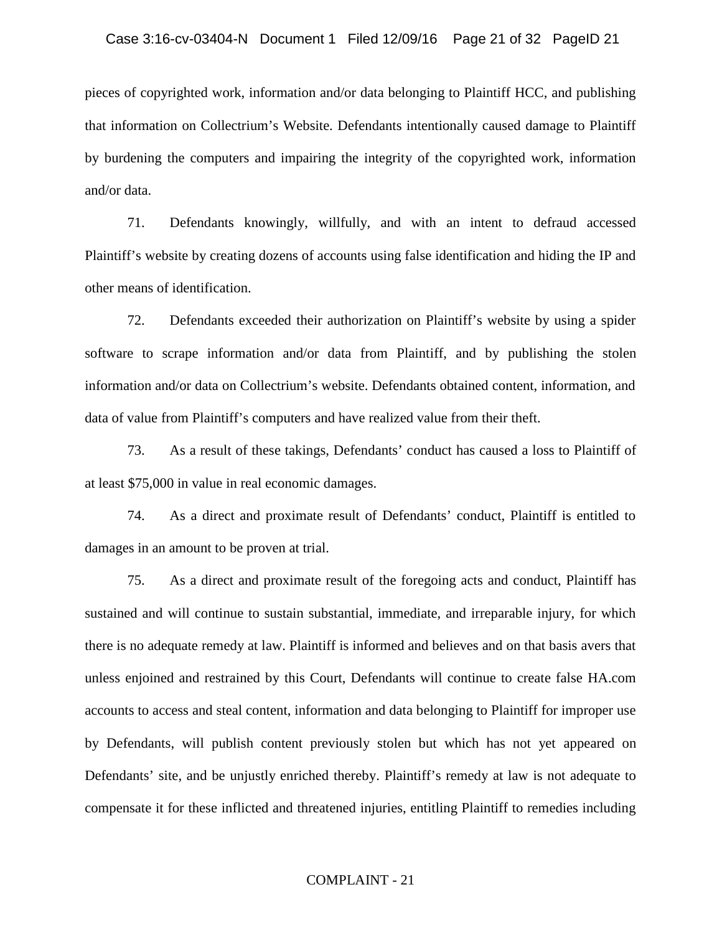#### Case 3:16-cv-03404-N Document 1 Filed 12/09/16 Page 21 of 32 PageID 21

pieces of copyrighted work, information and/or data belonging to Plaintiff HCC, and publishing that information on Collectrium's Website. Defendants intentionally caused damage to Plaintiff by burdening the computers and impairing the integrity of the copyrighted work, information and/or data.

71. Defendants knowingly, willfully, and with an intent to defraud accessed Plaintiff's website by creating dozens of accounts using false identification and hiding the IP and other means of identification.

72. Defendants exceeded their authorization on Plaintiff's website by using a spider software to scrape information and/or data from Plaintiff, and by publishing the stolen information and/or data on Collectrium's website. Defendants obtained content, information, and data of value from Plaintiff's computers and have realized value from their theft.

73. As a result of these takings, Defendants' conduct has caused a loss to Plaintiff of at least \$75,000 in value in real economic damages.

74. As a direct and proximate result of Defendants' conduct, Plaintiff is entitled to damages in an amount to be proven at trial.

75. As a direct and proximate result of the foregoing acts and conduct, Plaintiff has sustained and will continue to sustain substantial, immediate, and irreparable injury, for which there is no adequate remedy at law. Plaintiff is informed and believes and on that basis avers that unless enjoined and restrained by this Court, Defendants will continue to create false HA.com accounts to access and steal content, information and data belonging to Plaintiff for improper use by Defendants, will publish content previously stolen but which has not yet appeared on Defendants' site, and be unjustly enriched thereby. Plaintiff's remedy at law is not adequate to compensate it for these inflicted and threatened injuries, entitling Plaintiff to remedies including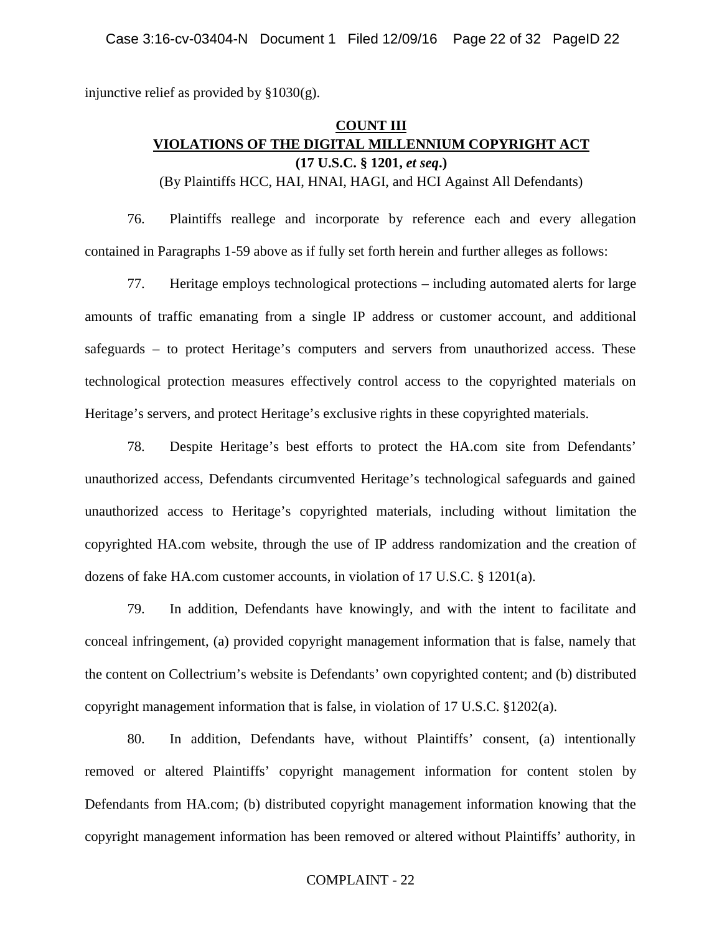injunctive relief as provided by  $§1030(g)$ .

## **COUNT III VIOLATIONS OF THE DIGITAL MILLENNIUM COPYRIGHT ACT (17 U.S.C. § 1201,** *et seq***.)**

(By Plaintiffs HCC, HAI, HNAI, HAGI, and HCI Against All Defendants)

76. Plaintiffs reallege and incorporate by reference each and every allegation contained in Paragraphs 1-59 above as if fully set forth herein and further alleges as follows:

77. Heritage employs technological protections – including automated alerts for large amounts of traffic emanating from a single IP address or customer account, and additional safeguards – to protect Heritage's computers and servers from unauthorized access. These technological protection measures effectively control access to the copyrighted materials on Heritage's servers, and protect Heritage's exclusive rights in these copyrighted materials.

78. Despite Heritage's best efforts to protect the HA.com site from Defendants' unauthorized access, Defendants circumvented Heritage's technological safeguards and gained unauthorized access to Heritage's copyrighted materials, including without limitation the copyrighted HA.com website, through the use of IP address randomization and the creation of dozens of fake HA.com customer accounts, in violation of 17 U.S.C. § 1201(a).

79. In addition, Defendants have knowingly, and with the intent to facilitate and conceal infringement, (a) provided copyright management information that is false, namely that the content on Collectrium's website is Defendants' own copyrighted content; and (b) distributed copyright management information that is false, in violation of 17 U.S.C.  $$1202(a)$ .

80. In addition, Defendants have, without Plaintiffs' consent, (a) intentionally removed or altered Plaintiffs' copyright management information for content stolen by Defendants from HA.com; (b) distributed copyright management information knowing that the copyright management information has been removed or altered without Plaintiffs' authority, in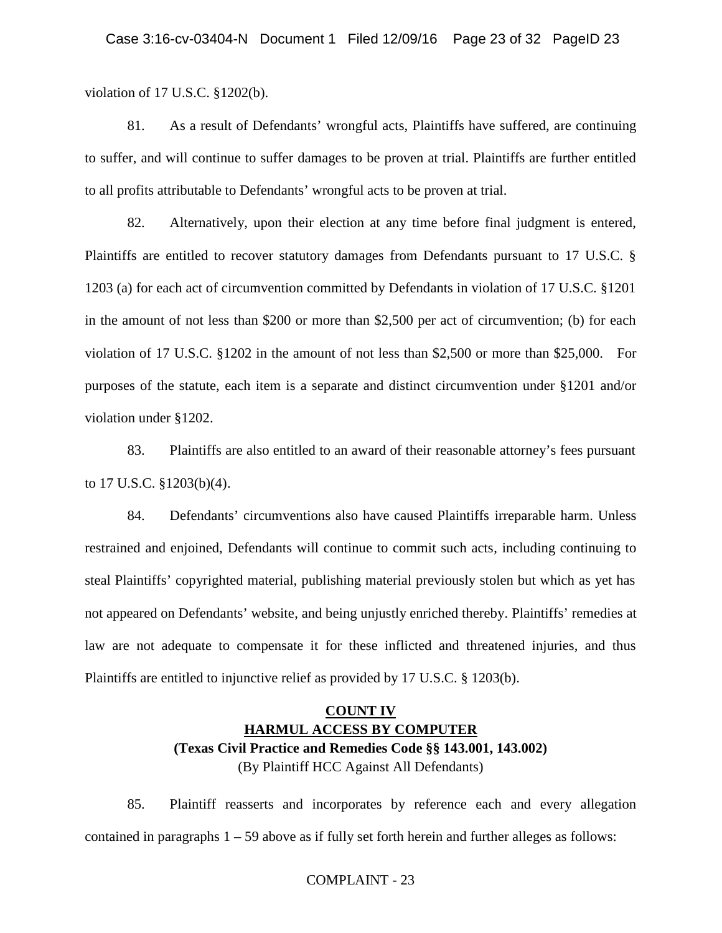violation of 17 U.S.C. §1202(b).

81. As a result of Defendants' wrongful acts, Plaintiffs have suffered, are continuing to suffer, and will continue to suffer damages to be proven at trial. Plaintiffs are further entitled to all profits attributable to Defendants' wrongful acts to be proven at trial.

82. Alternatively, upon their election at any time before final judgment is entered, Plaintiffs are entitled to recover statutory damages from Defendants pursuant to 17 U.S.C. § 1203 (a) for each act of circumvention committed by Defendants in violation of 17 U.S.C. §1201 in the amount of not less than \$200 or more than \$2,500 per act of circumvention; (b) for each violation of 17 U.S.C. §1202 in the amount of not less than \$2,500 or more than \$25,000. For purposes of the statute, each item is a separate and distinct circumvention under §1201 and/or violation under §1202.

83. Plaintiffs are also entitled to an award of their reasonable attorney's fees pursuant to 17 U.S.C. §1203(b)(4).

84. Defendants' circumventions also have caused Plaintiffs irreparable harm. Unless restrained and enjoined, Defendants will continue to commit such acts, including continuing to steal Plaintiffs' copyrighted material, publishing material previously stolen but which as yet has not appeared on Defendants' website, and being unjustly enriched thereby. Plaintiffs' remedies at law are not adequate to compensate it for these inflicted and threatened injuries, and thus Plaintiffs are entitled to injunctive relief as provided by 17 U.S.C. § 1203(b).

## **COUNT IV HARMUL ACCESS BY COMPUTER (Texas Civil Practice and Remedies Code §§ 143.001, 143.002)** (By Plaintiff HCC Against All Defendants)

85. Plaintiff reasserts and incorporates by reference each and every allegation contained in paragraphs  $1 - 59$  above as if fully set forth herein and further alleges as follows: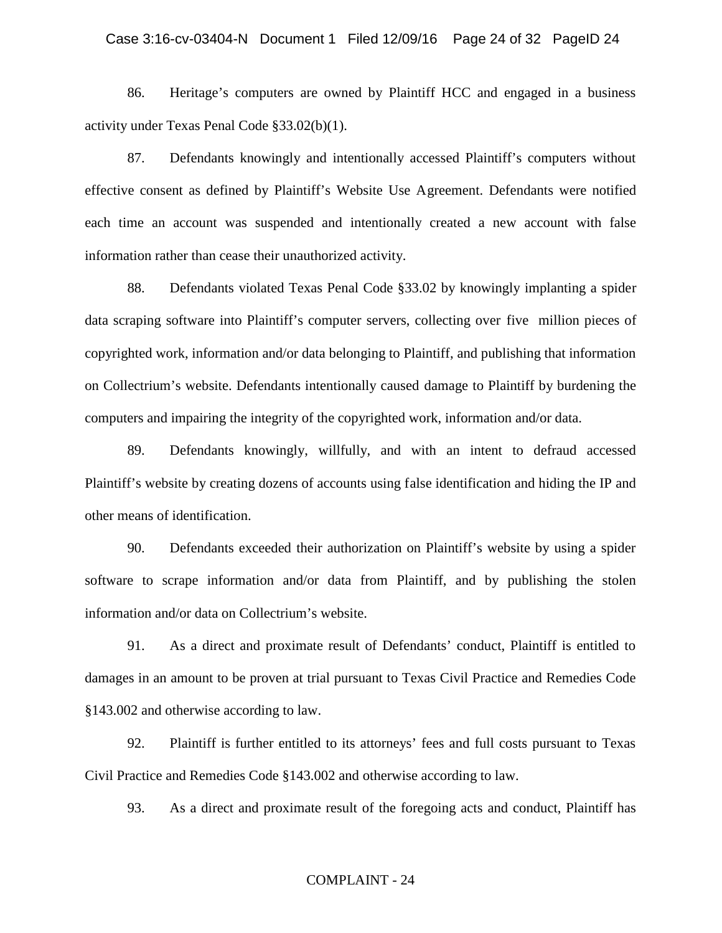#### Case 3:16-cv-03404-N Document 1 Filed 12/09/16 Page 24 of 32 PageID 24

86. Heritage's computers are owned by Plaintiff HCC and engaged in a business activity under Texas Penal Code §33.02(b)(1).

87. Defendants knowingly and intentionally accessed Plaintiff's computers without effective consent as defined by Plaintiff's Website Use Agreement. Defendants were notified each time an account was suspended and intentionally created a new account with false information rather than cease their unauthorized activity.

88. Defendants violated Texas Penal Code §33.02 by knowingly implanting a spider data scraping software into Plaintiff's computer servers, collecting over five million pieces of copyrighted work, information and/or data belonging to Plaintiff, and publishing that information on Collectrium's website. Defendants intentionally caused damage to Plaintiff by burdening the computers and impairing the integrity of the copyrighted work, information and/or data.

89. Defendants knowingly, willfully, and with an intent to defraud accessed Plaintiff's website by creating dozens of accounts using false identification and hiding the IP and other means of identification.

90. Defendants exceeded their authorization on Plaintiff's website by using a spider software to scrape information and/or data from Plaintiff, and by publishing the stolen information and/or data on Collectrium's website.

91. As a direct and proximate result of Defendants' conduct, Plaintiff is entitled to damages in an amount to be proven at trial pursuant to Texas Civil Practice and Remedies Code §143.002 and otherwise according to law.

92. Plaintiff is further entitled to its attorneys' fees and full costs pursuant to Texas Civil Practice and Remedies Code §143.002 and otherwise according to law.

93. As a direct and proximate result of the foregoing acts and conduct, Plaintiff has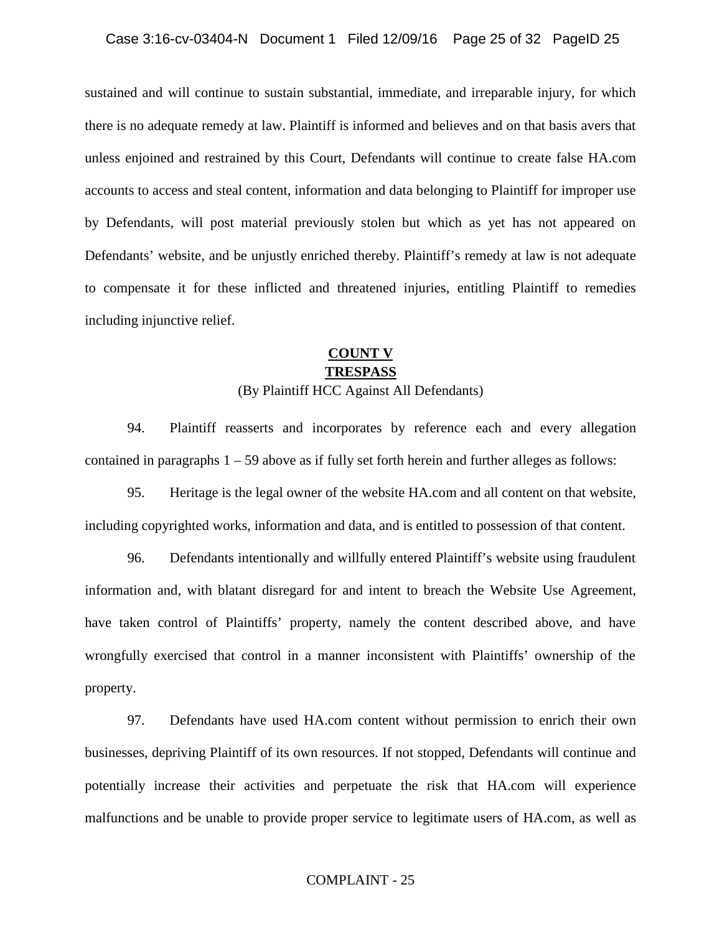sustained and will continue to sustain substantial, immediate, and irreparable injury, for which there is no adequate remedy at law. Plaintiff is informed and believes and on that basis avers that unless enjoined and restrained by this Court, Defendants will continue to create false HA.com accounts to access and steal content, information and data belonging to Plaintiff for improper use by Defendants, will post material previously stolen but which as yet has not appeared on Defendants' website, and be unjustly enriched thereby. Plaintiff's remedy at law is not adequate to compensate it for these inflicted and threatened injuries, entitling Plaintiff to remedies including injunctive relief.

## **COUNT V TRESPASS**

## (By Plaintiff HCC Against All Defendants)

94. Plaintiff reasserts and incorporates by reference each and every allegation contained in paragraphs  $1 - 59$  above as if fully set forth herein and further alleges as follows:

95. Heritage is the legal owner of the website HA.com and all content on that website, including copyrighted works, information and data, and is entitled to possession of that content.

96. Defendants intentionally and willfully entered Plaintiff's website using fraudulent information and, with blatant disregard for and intent to breach the Website Use Agreement, have taken control of Plaintiffs' property, namely the content described above, and have wrongfully exercised that control in a manner inconsistent with Plaintiffs' ownership of the property.

97. Defendants have used HA.com content without permission to enrich their own businesses, depriving Plaintiff of its own resources. If not stopped, Defendants will continue and potentially increase their activities and perpetuate the risk that HA.com will experience malfunctions and be unable to provide proper service to legitimate users of HA.com, as well as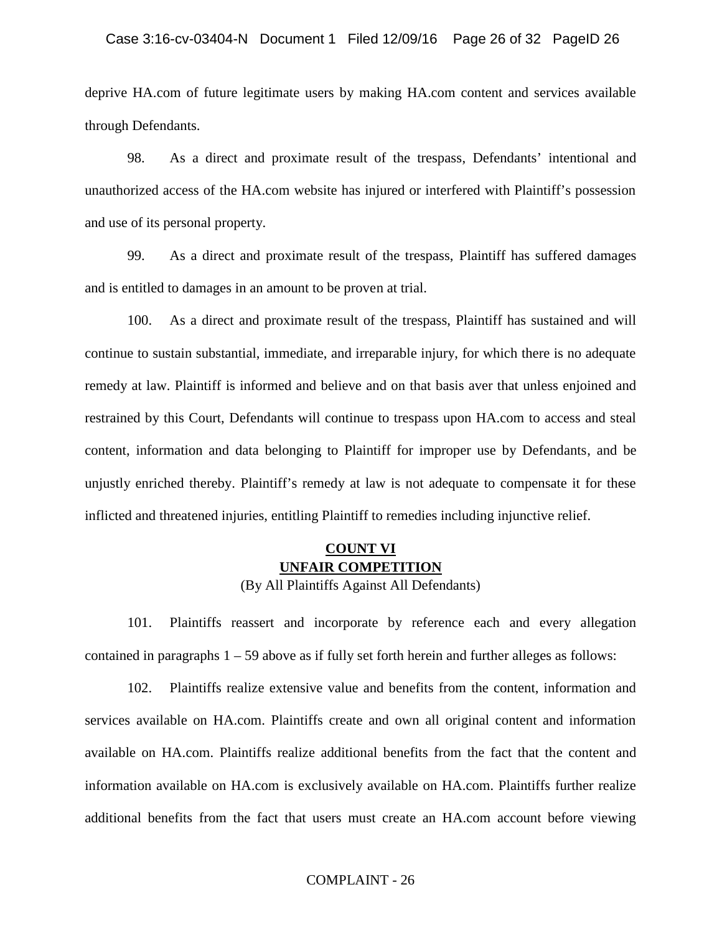deprive HA.com of future legitimate users by making HA.com content and services available through Defendants.

98. As a direct and proximate result of the trespass, Defendants' intentional and unauthorized access of the HA.com website has injured or interfered with Plaintiff's possession and use of its personal property.

99. As a direct and proximate result of the trespass, Plaintiff has suffered damages and is entitled to damages in an amount to be proven at trial.

100. As a direct and proximate result of the trespass, Plaintiff has sustained and will continue to sustain substantial, immediate, and irreparable injury, for which there is no adequate remedy at law. Plaintiff is informed and believe and on that basis aver that unless enjoined and restrained by this Court, Defendants will continue to trespass upon HA.com to access and steal content, information and data belonging to Plaintiff for improper use by Defendants, and be unjustly enriched thereby. Plaintiff's remedy at law is not adequate to compensate it for these inflicted and threatened injuries, entitling Plaintiff to remedies including injunctive relief.

## **COUNT VI UNFAIR COMPETITION**

(By All Plaintiffs Against All Defendants)

101. Plaintiffs reassert and incorporate by reference each and every allegation contained in paragraphs  $1 - 59$  above as if fully set forth herein and further alleges as follows:

102. Plaintiffs realize extensive value and benefits from the content, information and services available on HA.com. Plaintiffs create and own all original content and information available on HA.com. Plaintiffs realize additional benefits from the fact that the content and information available on HA.com is exclusively available on HA.com. Plaintiffs further realize additional benefits from the fact that users must create an HA.com account before viewing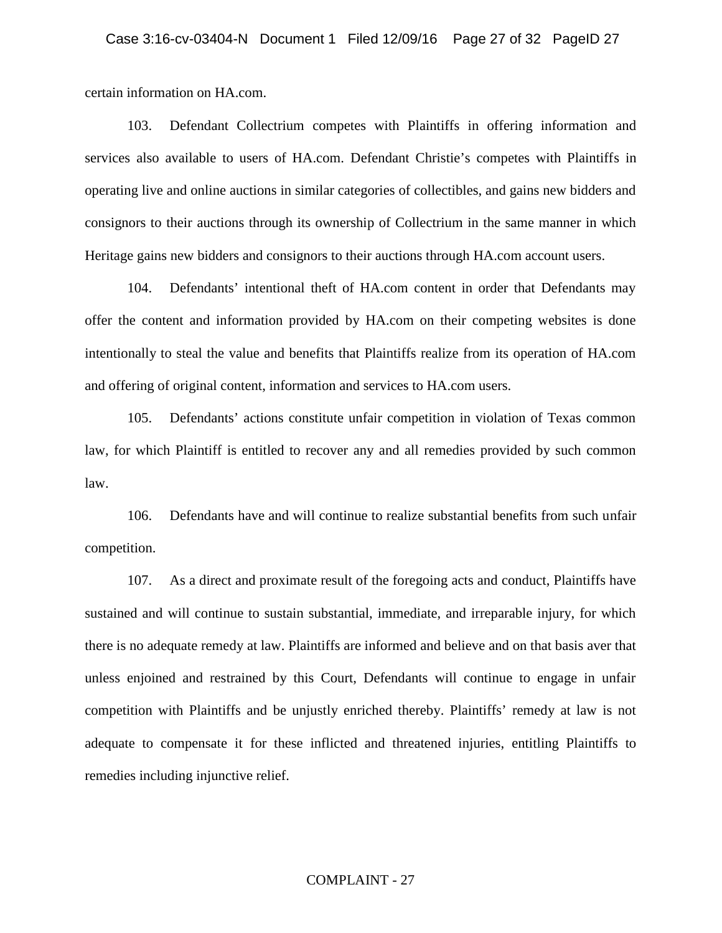certain information on HA.com.

103. Defendant Collectrium competes with Plaintiffs in offering information and services also available to users of HA.com. Defendant Christie's competes with Plaintiffs in operating live and online auctions in similar categories of collectibles, and gains new bidders and consignors to their auctions through its ownership of Collectrium in the same manner in which Heritage gains new bidders and consignors to their auctions through HA.com account users.

104. Defendants' intentional theft of HA.com content in order that Defendants may offer the content and information provided by HA.com on their competing websites is done intentionally to steal the value and benefits that Plaintiffs realize from its operation of HA.com and offering of original content, information and services to HA.com users.

105. Defendants' actions constitute unfair competition in violation of Texas common law, for which Plaintiff is entitled to recover any and all remedies provided by such common law.

106. Defendants have and will continue to realize substantial benefits from such unfair competition.

107. As a direct and proximate result of the foregoing acts and conduct, Plaintiffs have sustained and will continue to sustain substantial, immediate, and irreparable injury, for which there is no adequate remedy at law. Plaintiffs are informed and believe and on that basis aver that unless enjoined and restrained by this Court, Defendants will continue to engage in unfair competition with Plaintiffs and be unjustly enriched thereby. Plaintiffs' remedy at law is not adequate to compensate it for these inflicted and threatened injuries, entitling Plaintiffs to remedies including injunctive relief.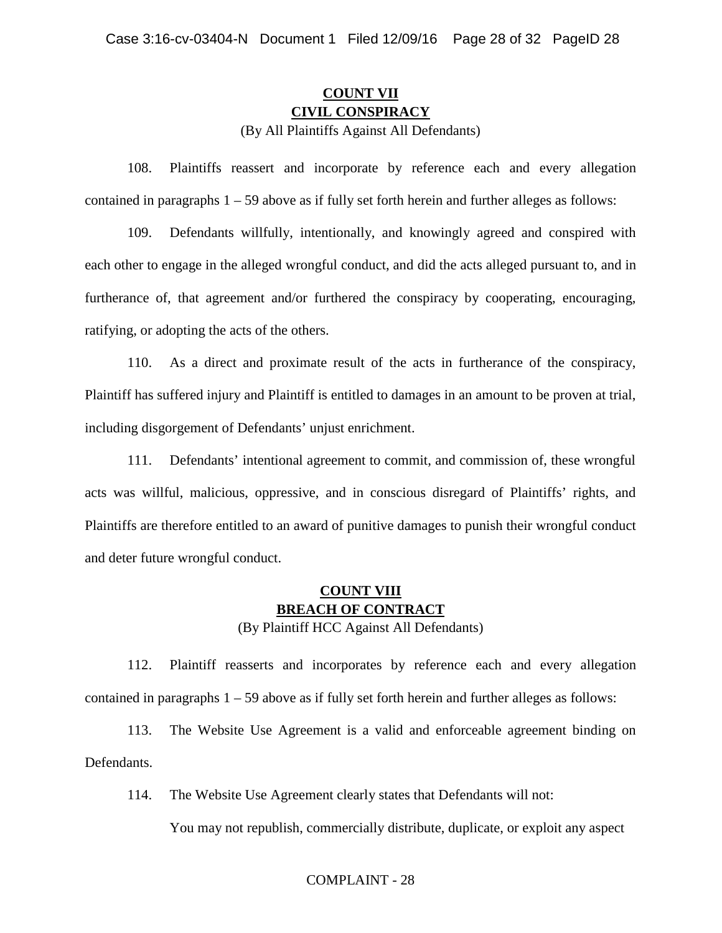# **COUNT VII CIVIL CONSPIRACY**

(By All Plaintiffs Against All Defendants)

108. Plaintiffs reassert and incorporate by reference each and every allegation contained in paragraphs  $1 - 59$  above as if fully set forth herein and further alleges as follows:

109. Defendants willfully, intentionally, and knowingly agreed and conspired with each other to engage in the alleged wrongful conduct, and did the acts alleged pursuant to, and in furtherance of, that agreement and/or furthered the conspiracy by cooperating, encouraging, ratifying, or adopting the acts of the others.

110. As a direct and proximate result of the acts in furtherance of the conspiracy, Plaintiff has suffered injury and Plaintiff is entitled to damages in an amount to be proven at trial, including disgorgement of Defendants' unjust enrichment.

111. Defendants' intentional agreement to commit, and commission of, these wrongful acts was willful, malicious, oppressive, and in conscious disregard of Plaintiffs' rights, and Plaintiffs are therefore entitled to an award of punitive damages to punish their wrongful conduct and deter future wrongful conduct.

## **COUNT VIII BREACH OF CONTRACT** (By Plaintiff HCC Against All Defendants)

112. Plaintiff reasserts and incorporates by reference each and every allegation contained in paragraphs  $1 - 59$  above as if fully set forth herein and further alleges as follows:

113. The Website Use Agreement is a valid and enforceable agreement binding on Defendants.

114. The Website Use Agreement clearly states that Defendants will not:

You may not republish, commercially distribute, duplicate, or exploit any aspect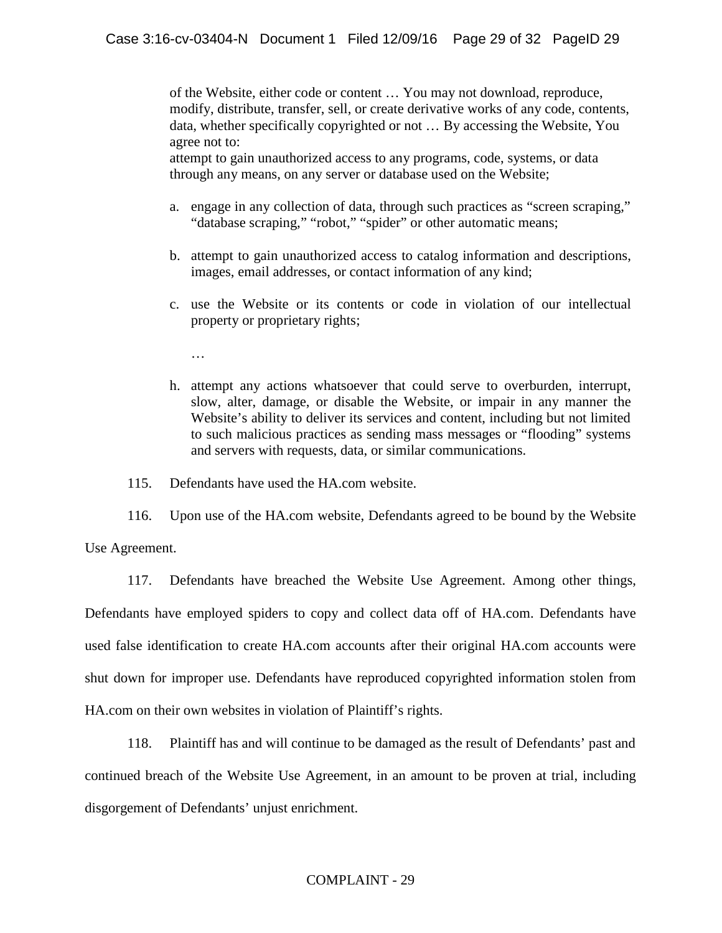of the Website, either code or content … You may not download, reproduce, modify, distribute, transfer, sell, or create derivative works of any code, contents, data, whether specifically copyrighted or not … By accessing the Website, You agree not to:

attempt to gain unauthorized access to any programs, code, systems, or data through any means, on any server or database used on the Website;

- a. engage in any collection of data, through such practices as "screen scraping," "database scraping," "robot," "spider" or other automatic means;
- b. attempt to gain unauthorized access to catalog information and descriptions, images, email addresses, or contact information of any kind;
- c. use the Website or its contents or code in violation of our intellectual property or proprietary rights;

…

h. attempt any actions whatsoever that could serve to overburden, interrupt, slow, alter, damage, or disable the Website, or impair in any manner the Website's ability to deliver its services and content, including but not limited to such malicious practices as sending mass messages or "flooding" systems and servers with requests, data, or similar communications.

115. Defendants have used the HA.com website.

116. Upon use of the HA.com website, Defendants agreed to be bound by the Website Use Agreement.

117. Defendants have breached the Website Use Agreement. Among other things, Defendants have employed spiders to copy and collect data off of HA.com. Defendants have used false identification to create HA.com accounts after their original HA.com accounts were shut down for improper use. Defendants have reproduced copyrighted information stolen from HA.com on their own websites in violation of Plaintiff's rights.

118. Plaintiff has and will continue to be damaged as the result of Defendants' past and continued breach of the Website Use Agreement, in an amount to be proven at trial, including disgorgement of Defendants' unjust enrichment.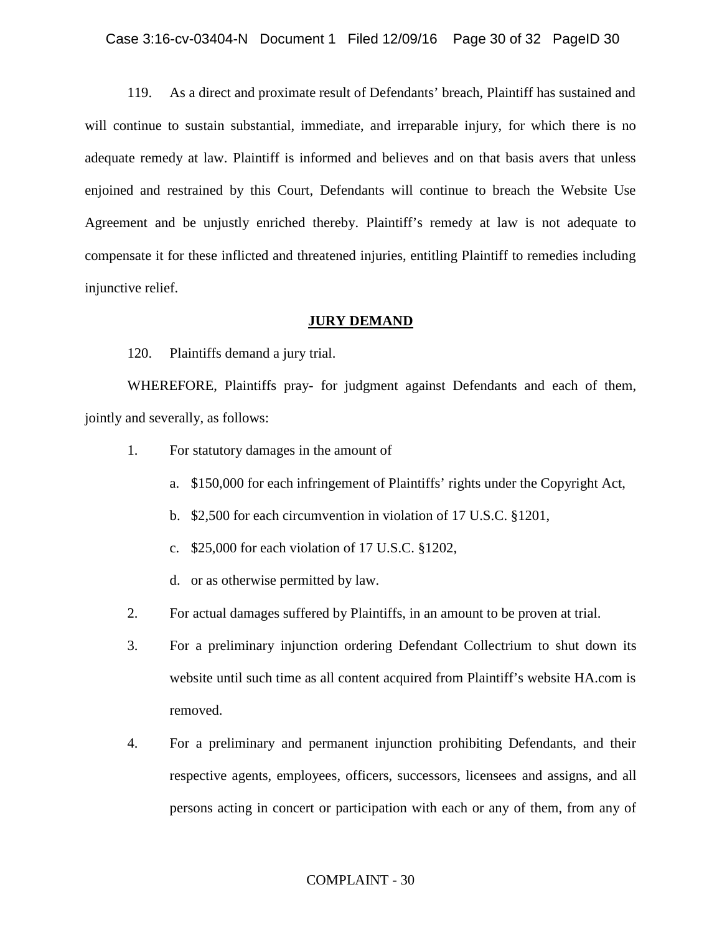#### Case 3:16-cv-03404-N Document 1 Filed 12/09/16 Page 30 of 32 PageID 30

119. As a direct and proximate result of Defendants' breach, Plaintiff has sustained and will continue to sustain substantial, immediate, and irreparable injury, for which there is no adequate remedy at law. Plaintiff is informed and believes and on that basis avers that unless enjoined and restrained by this Court, Defendants will continue to breach the Website Use Agreement and be unjustly enriched thereby. Plaintiff's remedy at law is not adequate to compensate it for these inflicted and threatened injuries, entitling Plaintiff to remedies including injunctive relief.

### **JURY DEMAND**

120. Plaintiffs demand a jury trial.

WHEREFORE, Plaintiffs pray- for judgment against Defendants and each of them, jointly and severally, as follows:

- 1. For statutory damages in the amount of
	- a. \$150,000 for each infringement of Plaintiffs' rights under the Copyright Act,
	- b. \$2,500 for each circumvention in violation of 17 U.S.C. §1201,
	- c. \$25,000 for each violation of 17 U.S.C. §1202,
	- d. or as otherwise permitted by law.
- 2. For actual damages suffered by Plaintiffs, in an amount to be proven at trial.
- 3. For a preliminary injunction ordering Defendant Collectrium to shut down its website until such time as all content acquired from Plaintiff's website HA.com is removed.
- 4. For a preliminary and permanent injunction prohibiting Defendants, and their respective agents, employees, officers, successors, licensees and assigns, and all persons acting in concert or participation with each or any of them, from any of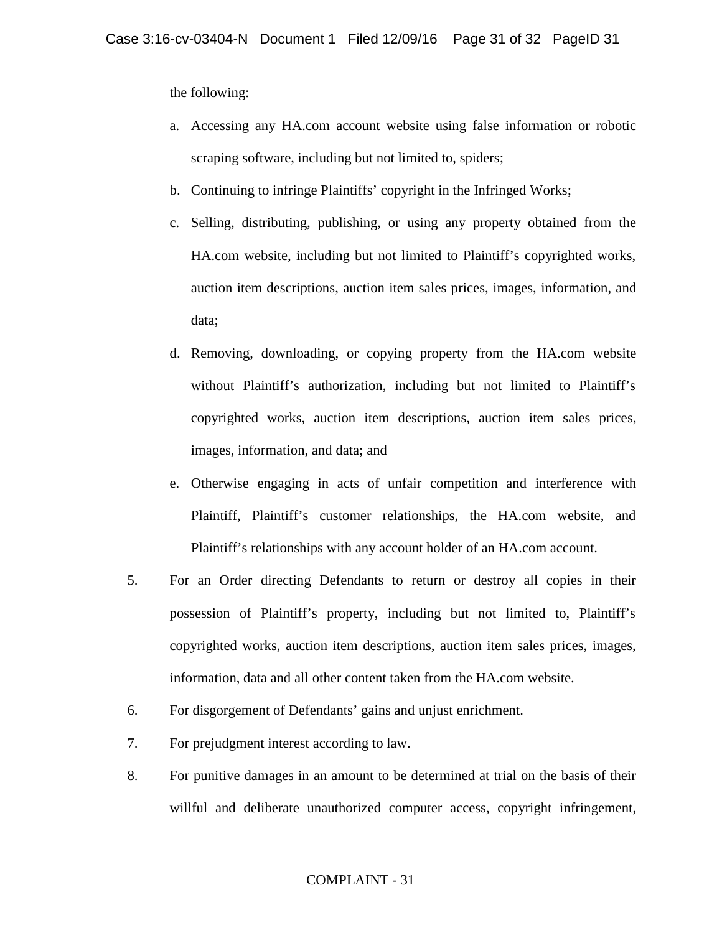the following:

- a. Accessing any HA.com account website using false information or robotic scraping software, including but not limited to, spiders;
- b. Continuing to infringe Plaintiffs' copyright in the Infringed Works;
- c. Selling, distributing, publishing, or using any property obtained from the HA.com website, including but not limited to Plaintiff's copyrighted works, auction item descriptions, auction item sales prices, images, information, and data;
- d. Removing, downloading, or copying property from the HA.com website without Plaintiff's authorization, including but not limited to Plaintiff's copyrighted works, auction item descriptions, auction item sales prices, images, information, and data; and
- e. Otherwise engaging in acts of unfair competition and interference with Plaintiff, Plaintiff's customer relationships, the HA.com website, and Plaintiff's relationships with any account holder of an HA.com account.
- 5. For an Order directing Defendants to return or destroy all copies in their possession of Plaintiff's property, including but not limited to, Plaintiff's copyrighted works, auction item descriptions, auction item sales prices, images, information, data and all other content taken from the HA.com website.
- 6. For disgorgement of Defendants' gains and unjust enrichment.
- 7. For prejudgment interest according to law.
- 8. For punitive damages in an amount to be determined at trial on the basis of their willful and deliberate unauthorized computer access, copyright infringement,